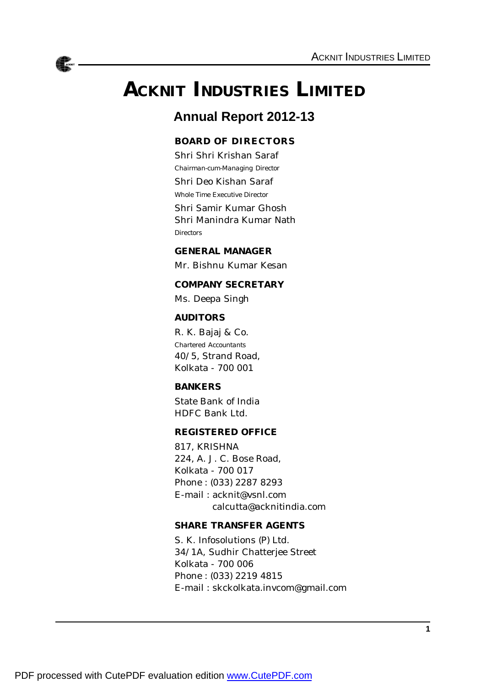

# **ACKNIT INDUSTRIES LIMITED**

# **Annual Report 2012-13**

## **BOARD OF DIRECTORS**

Shri Shri Krishan Saraf *Chairman-cum-Managing Director* Shri Deo Kishan Saraf *Whole Time Executive Director* Shri Samir Kumar Ghosh Shri Manindra Kumar Nath *Directors*

### **GENERAL MANAGER**

Mr. Bishnu Kumar Kesan

### **COMPANY SECRETARY**

Ms. Deepa Singh

### **AUDITORS**

R. K. Bajaj & Co. *Chartered Accountants* 40/5, Strand Road, Kolkata - 700 001

### **BANKERS**

State Bank of India HDFC Bank Ltd.

### **REGISTERED OFFICE**

817, KRISHNA 224, A. J. C. Bose Road, Kolkata - 700 017 Phone : (033) 2287 8293 E-mail : acknit@vsnl.com calcutta@acknitindia.com

### **SHARE TRANSFER AGENTS**

S. K. Infosolutions (P) Ltd. 34/1A, Sudhir Chatterjee Street Kolkata - 700 006 Phone : (033) 2219 4815 E-mail : skckolkata.invcom@gmail.com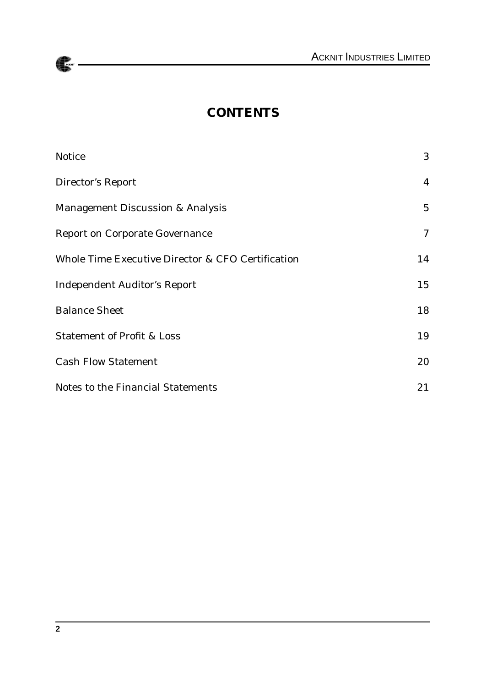

# **CONTENTS**

| <b>Notice</b>                                     | 3                       |
|---------------------------------------------------|-------------------------|
| <b>Director's Report</b>                          | $\overline{\mathbf{4}}$ |
| <b>Management Discussion &amp; Analysis</b>       | $5\overline{)}$         |
| <b>Report on Corporate Governance</b>             | $\tau$                  |
| Whole Time Executive Director & CFO Certification | 14                      |
| <b>Independent Auditor's Report</b>               | 15                      |
| <b>Balance Sheet</b>                              | 18                      |
| <b>Statement of Profit &amp; Loss</b>             | 19                      |
| <b>Cash Flow Statement</b>                        | 20                      |
| Notes to the Financial Statements                 | 21                      |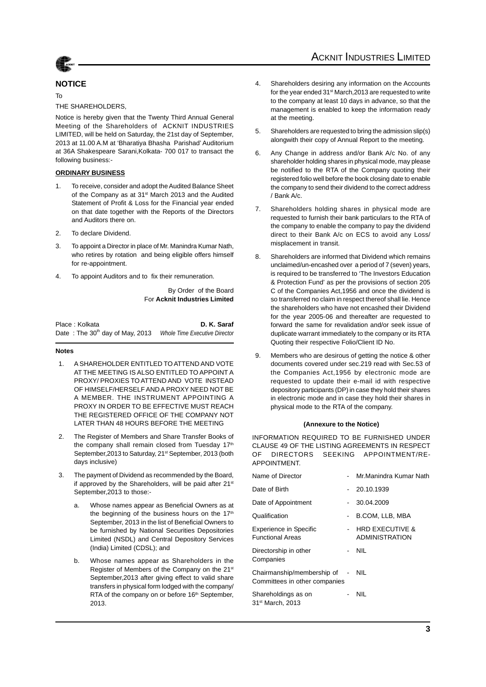

### **NOTICE**

To

THE SHAREHOLDERS,

Notice is hereby given that the Twenty Third Annual General Meeting of the Shareholders of ACKNIT INDUSTRIES LIMITED, will be held on Saturday, the 21st day of September, 2013 at 11.00 A.M at 'Bharatiya Bhasha Parishad' Auditorium at 36A Shakespeare Sarani,Kolkata- 700 017 to transact the following business:-

#### **ORDINARY BUSINESS**

- 1. To receive, consider and adopt the Audited Balance Sheet of the Company as at 31<sup>st</sup> March 2013 and the Audited Statement of Profit & Loss for the Financial year ended on that date together with the Reports of the Directors and Auditors there on.
- 2. To declare Dividend.
- 3. To appoint a Director in place of Mr. Manindra Kumar Nath, who retires by rotation and being eligible offers himself for re-appointment.
- 4. To appoint Auditors and to fix their remuneration.

By Order of the Board For **Acknit Industries Limited**

| Place: Kolkata                    | D. K. Saraf                          |
|-----------------------------------|--------------------------------------|
| Date: The $30th$ day of May, 2013 | <b>Whole Time Executive Director</b> |

### **Notes**

- 1. A SHAREHOLDER ENTITLED TO ATTEND AND VOTE AT THE MEETING IS ALSO ENTITLED TO APPOINT A PROXY/ PROXIES TO ATTEND AND VOTE INSTEAD OF HIMSELF/HERSELF AND A PROXY NEED NOT BE A MEMBER. THE INSTRUMENT APPOINTING A PROXY IN ORDER TO BE EFFECTIVE MUST REACH THE REGISTERED OFFICE OF THE COMPANY NOT LATER THAN 48 HOURS BEFORE THE MEETING
- 2. The Register of Members and Share Transfer Books of the company shall remain closed from Tuesday 17th September, 2013 to Saturday, 21<sup>st</sup> September, 2013 (both days inclusive)
- 3. The payment of Dividend as recommended by the Board, if approved by the Shareholders, will be paid after 21<sup>st</sup> September,2013 to those:
	- a. Whose names appear as Beneficial Owners as at the beginning of the business hours on the 17th September, 2013 in the list of Beneficial Owners to be furnished by National Securities Depositories Limited (NSDL) and Central Depository Services (India) Limited (CDSL); and
	- b. Whose names appear as Shareholders in the Register of Members of the Company on the 21st September,2013 after giving effect to valid share transfers in physical form lodged with the company/ RTA of the company on or before 16<sup>th</sup> September, 2013.
- 4. Shareholders desiring any information on the Accounts for the year ended 31<sup>st</sup> March, 2013 are requested to write to the company at least 10 days in advance, so that the management is enabled to keep the information ready at the meeting.
- 5. Shareholders are requested to bring the admission slip(s) alongwith their copy of Annual Report to the meeting.
- 6. Any Change in address and/or Bank A/c No. of any shareholder holding shares in physical mode, may please be notified to the RTA of the Company quoting their registered folio well before the book closing date to enable the company to send their dividend to the correct address / Bank A/c.
- 7. Shareholders holding shares in physical mode are requested to furnish their bank particulars to the RTA of the company to enable the company to pay the dividend direct to their Bank A/c on ECS to avoid any Loss/ misplacement in transit.
- 8. Shareholders are informed that Dividend which remains unclaimed/un-encashed over a period of 7 (seven) years, is required to be transferred to 'The Investors Education & Protection Fund' as per the provisions of section 205 C of the Companies Act,1956 and once the dividend is so transferred no claim in respect thereof shall lie. Hence the shareholders who have not encashed their Dividend for the year 2005-06 and thereafter are requested to forward the same for revalidation and/or seek issue of duplicate warrant immediately to the company or its RTA Quoting their respective Folio/Client ID No.
- 9. Members who are desirous of getting the notice & other documents covered under sec.219 read with Sec.53 of the Companies Act,1956 by electronic mode are requested to update their e-mail id with respective depository participants (DP) in case they hold their shares in electronic mode and in case they hold their shares in physical mode to the RTA of the company.

### **(Annexure to the Notice)**

INFORMATION REQUIRED TO BE FURNISHED UNDER CLAUSE 49 OF THE LISTING AGREEMENTS IN RESPECT OF DIRECTORS SEEKING APPOINTMENT/RE-APPOINTMENT.

| Name of Director                                            |                | Mr.Manindra Kumar Nath                              |
|-------------------------------------------------------------|----------------|-----------------------------------------------------|
| Date of Birth                                               |                | $-20.10.1939$                                       |
| Date of Appointment                                         |                | 30.04.2009                                          |
| Qualification                                               | $\sim$         | B.COM, LLB, MBA                                     |
| <b>Experience in Specific</b><br><b>Functional Areas</b>    |                | <b>HRD EXECUTIVE &amp;</b><br><b>ADMINISTRATION</b> |
| Directorship in other<br>Companies                          | $\blacksquare$ | <b>NIL</b>                                          |
| Chairmanship/membership of<br>Committees in other companies | $\sim$         | <b>NIL</b>                                          |
| Shareholdings as on<br>31st March, 2013                     |                | <b>NIL</b>                                          |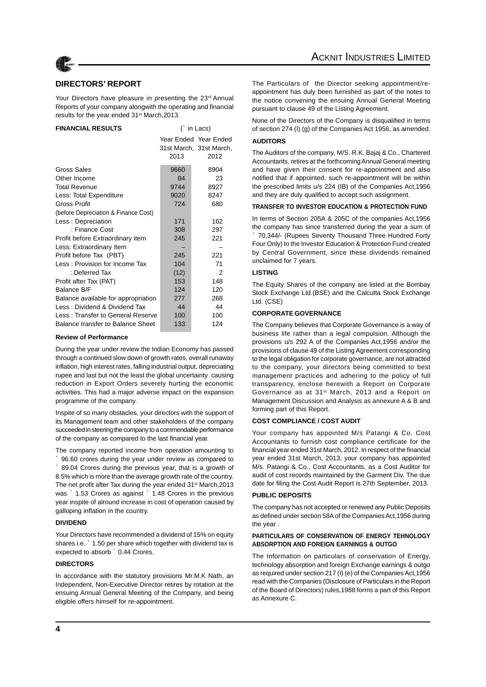

### **DIRECTORS' REPORT**

Your Directors have pleasure in presenting the 23rd Annual Reports of your company alongwith the operating and financial results for the year ended 31<sup>st</sup> March, 2013.

| <b>FINANCIAL RESULTS</b>             | (` in Lacs) |                                                          |  |
|--------------------------------------|-------------|----------------------------------------------------------|--|
|                                      | 2013        | Year Ended Year Ended<br>31st March, 31st March,<br>2012 |  |
| Gross Sales                          | 9660        | 8904                                                     |  |
| Other Income                         | 84          | 23                                                       |  |
| <b>Total Revenue</b>                 | 9744        | 8927                                                     |  |
| Less: Total Expenditure              | 9020        | 8247                                                     |  |
| <b>Gross Profit</b>                  | 724         | 680                                                      |  |
| (before Depreciation & Finance Cost) |             |                                                          |  |
| Less: Depreciation                   | 171         | 162                                                      |  |
| : Finance Cost                       | 308         | 297                                                      |  |
| Profit before Extraordinary item     | 245         | 221                                                      |  |
| Less: Extraordinary Item             |             |                                                          |  |
| Profit before Tax (PBT)              | 245         | 221                                                      |  |
| Less: Provision for Income Tax       | 104         | 71                                                       |  |
| : Deferred Tax                       | (12)        | 2                                                        |  |
| Profit after Tax (PAT)               | 153         | 148                                                      |  |
| Balance B/F                          | 124         | 120                                                      |  |
| Balance available for appropriation  | 277         | 268                                                      |  |
| Less: Dividend & Dividend Tax        | 44          | 44                                                       |  |
| Less: Transfer to General Reserve    | 100         | 100                                                      |  |
| Balance transfer to Balance Sheet    | 133         | 124                                                      |  |

#### **Review of Performance**

During the year under review the Indian Economy has passed through a continued slow down of growth rates, overall runaway inflation, high interest rates, falling industrial output, depreciating rupee and last but not the least the global uncertainty causing reduction in Export Orders severely hurting the economic activities. This had a major adverse impact on the expansion programme of the company.

Inspite of so many obstacles, your directors with the support of its Management team and other stakeholders of the company succeeded in steering the company to a commendable performance of the company as compared to the last financial year.

The company reported income from operation amounting to

` 96.60 crores during the year under review as compared to 89.04 Crores during the previous year, that is a growth of 8.5% which is more than the average growth rate of the country. The net profit after Tax during the year ended 31<sup>st</sup> March,2013 was ` 1.53 Crores as against ` 1.48 Crores in the previous year inspite of alround increase in cost of operation caused by

#### **DIVIDEND**

galloping inflation in the country.

Your Directors have recommended a dividend of 15% on equity shares i.e. ` 1.50 per share which together with dividend tax is expected to absorb ` 0.44 Crores.

#### **DIRECTORS**

In accordance with the statutory provisions Mr.M.K Nath, an Independent, Non-Executive Director retires by rotation at the ensuing Annual General Meeting of the Company, and being eligible offers himself for re-appointment.

The Particulars of the Director seeking appointment/reappointment has duly been furnished as part of the notes to the notice convening the ensuing Annual General Meeting pursuant to clause 49 of the Listing Agreement.

None of the Directors of the Company is disqualified in terms of section 274 (I) (g) of the Companies Act 1956, as amended.

#### **AUDITORS**

The Auditors of the company, M/S. R.K. Bajaj & Co., Chartered Accountants, retires at the forthcoming Annual General meeting and have given their consent for re-appointment and also notified that if appointed, such re-appointment will be within the prescribed limits u/s 224 (IB) of the Companies Act,1956 and they are duly qualified to accept such assignment.

#### **TRANSFER TO INVESTOR EDUCATION & PROTECTION FUND**

In terms of Section 205A & 205C of the companies Act,1956 the company has since transferred during the year a sum of ` 70,344/- (Rupees Seventy Thousand Three Hundred Forty Four Only) to the Investor Education & Protection Fund created by Central Government, since these dividends remained unclaimed for 7 years.

#### **LISTING**

The Equity Shares of the company are listed at the Bombay Stock Exchange Ltd.(BSE) and the Calcutta Stock Exchange Ltd. (CSE)

#### **CORPORATE GOVERNANCE**

The Company believes that Corporate Governance is a way of business life rather than a legal compulsion. Although the provisions u/s 292 A of the Companies Act,1956 and/or the provisions of clause 49 of the Listing Agreement corresponding to the legal obligation for corporate governance, are not attracted to the company, your directors being committed to best management practices and adhering to the policy of full transparency, enclose herewith a Report on Corporate Governance as at 31st March, 2013 and a Report on Management Discussion and Analysis as annexure A & B and forming part of this Report.

#### **COST COMPLIANCE / COST AUDIT**

Your company has appointed M/s Patangi & Co. Cost Accountants to furnish cost compliance certificate for the financial year ended 31st March, 2012. In respect of the financial year ended 31st March, 2013, your company has appointed M/s. Patangi & Co., Cost Accountants, as a Cost Auditor for audit of cost records maintained by the Garment Div. The due date for filing the Cost Audit Report is 27th September, 2013.

#### **PUBLIC DEPOSITS**

The company has not accepted or renewed any Public Deposits as defined under section 58A of the Companies Act,1956 during the year .

#### **PARTICULARS OF CONSERVATION OF ENERGY TEHNOLOGY ABSORPTION AND FOREIGN EARNINGS & OUTGO**

The Information on particulars of conservation of Energy, technology absorption and foreign Exchange earnings & outgo as required under section 217 (I) (e) of the Companies Act,1956 read with the Companies (Disclosure of Particulars in the Report of the Board of Directors) rules,1988 forms a part of this Report as Annexure C.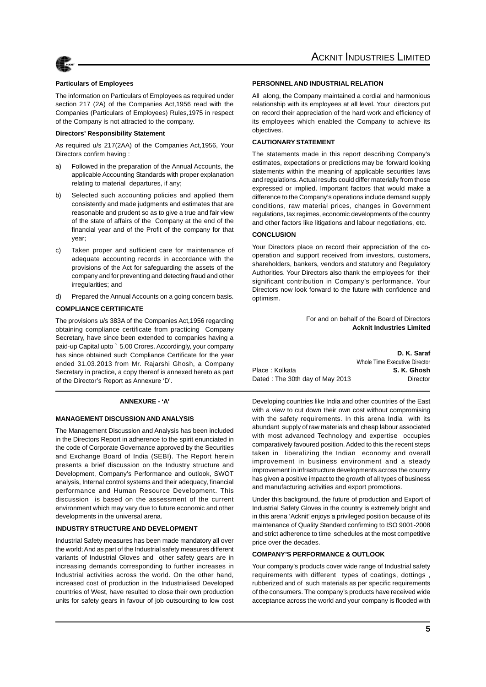

#### **Particulars of Employees**

The information on Particulars of Employees as required under section 217 (2A) of the Companies Act,1956 read with the Companies (Particulars of Employees) Rules,1975 in respect of the Company is not attracted to the company.

#### **Directors' Responsibility Statement**

As required u/s 217(2AA) of the Companies Act,1956, Your Directors confirm having :

- a) Followed in the preparation of the Annual Accounts, the applicable Accounting Standards with proper explanation relating to material departures, if any;
- b) Selected such accounting policies and applied them consistently and made judgments and estimates that are reasonable and prudent so as to give a true and fair view of the state of affairs of the Company at the end of the financial year and of the Profit of the company for that year;
- c) Taken proper and sufficient care for maintenance of adequate accounting records in accordance with the provisions of the Act for safeguarding the assets of the company and for preventing and detecting fraud and other irregularities; and
- d) Prepared the Annual Accounts on a going concern basis.

#### **COMPLIANCE CERTIFICATE**

The provisions u/s 383A of the Companies Act,1956 regarding obtaining compliance certificate from practicing Company Secretary, have since been extended to companies having a paid-up Capital upto ` 5.00 Crores. Accordingly, your company has since obtained such Compliance Certificate for the year ended 31.03.2013 from Mr. Rajarshi Ghosh, a Company Secretary in practice, a copy thereof is annexed hereto as part of the Director's Report as Annexure 'D'.

#### **ANNEXURE - 'A'**

#### **MANAGEMENT DISCUSSION AND ANALYSIS**

The Management Discussion and Analysis has been included in the Directors Report in adherence to the spirit enunciated in the code of Corporate Governance approved by the Securities and Exchange Board of India (SEBI). The Report herein presents a brief discussion on the Industry structure and Development, Company's Performance and outlook, SWOT analysis, Internal control systems and their adequacy, financial performance and Human Resource Development. This discussion is based on the assessment of the current environment which may vary due to future economic and other developments in the universal arena.

#### **INDUSTRY STRUCTURE AND DEVELOPMENT**

Industrial Safety measures has been made mandatory all over the world; And as part of the Industrial safety measures different variants of Industrial Gloves and other safety gears are in increasing demands corresponding to further increases in Industrial activities across the world. On the other hand, increased cost of production in the Industrialised Developed countries of West, have resulted to close their own production units for safety gears in favour of job outsourcing to low cost

#### **PERSONNEL AND INDUSTRIAL RELATION**

All along, the Company maintained a cordial and harmonious relationship with its employees at all level. Your directors put on record their appreciation of the hard work and efficiency of its employees which enabled the Company to achieve its objectives.

#### **CAUTIONARY STATEMENT**

The statements made in this report describing Company's estimates, expectations or predictions may be forward looking statements within the meaning of applicable securities laws and regulations. Actual results could differ materially from those expressed or implied. Important factors that would make a difference to the Company's operations include demand supply conditions, raw material prices, changes in Government regulations, tax regimes, economic developments of the country and other factors like litigations and labour negotiations, etc.

#### **CONCLUSION**

Your Directors place on record their appreciation of the cooperation and support received from investors, customers, shareholders, bankers, vendors and statutory and Regulatory Authorities. Your Directors also thank the employees for their significant contribution in Company's performance. Your Directors now look forward to the future with confidence and optimism.

> For and on behalf of the Board of Directors **Acknit Industries Limited**

|                                 | D. K. Saraf                   |
|---------------------------------|-------------------------------|
|                                 | Whole Time Executive Director |
| Place: Kolkata                  | S. K. Ghosh                   |
| Dated: The 30th day of May 2013 | Director                      |

Developing countries like India and other countries of the East with a view to cut down their own cost without compromising with the safety requirements. In this arena India with its abundant supply of raw materials and cheap labour associated with most advanced Technology and expertise occupies comparatively favoured position. Added to this the recent steps taken in liberalizing the Indian economy and overall improvement in business environment and a steady improvement in infrastructure developments across the country has given a positive impact to the growth of all types of business and manufacturing activities and export promotions.

Under this background, the future of production and Export of Industrial Safety Gloves in the country is extremely bright and in this arena 'Acknit' enjoys a privileged position because of its maintenance of Quality Standard confirming to ISO 9001-2008 and strict adherence to time schedules at the most competitive price over the decades.

#### **COMPANY'S PERFORMANCE & OUTLOOK**

Your company's products cover wide range of Industrial safety requirements with different types of coatings, dottings , rubberized and of such materials as per specific requirements of the consumers. The company's products have received wide acceptance across the world and your company is flooded with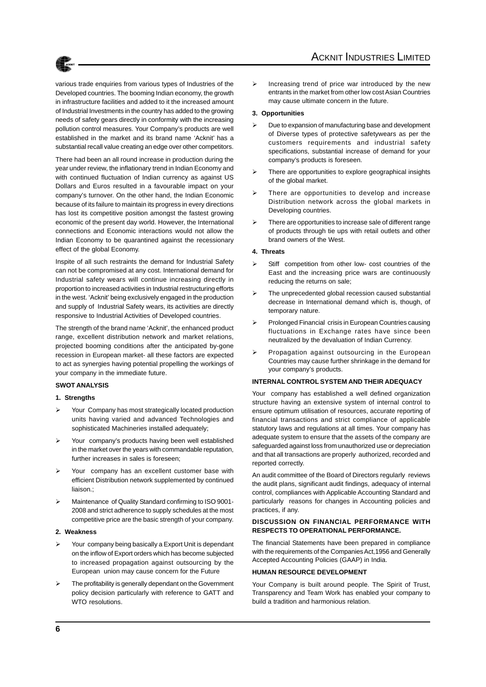

various trade enquiries from various types of Industries of the Developed countries. The booming Indian economy, the growth in infrastructure facilities and added to it the increased amount of Industrial Investments in the country has added to the growing needs of safety gears directly in conformity with the increasing pollution control measures. Your Company's products are well established in the market and its brand name 'Acknit' has a substantial recall value creating an edge over other competitors.

There had been an all round increase in production during the year under review, the inflationary trend in Indian Economy and with continued fluctuation of Indian currency as against US Dollars and Euros resulted in a favourable impact on your company's turnover. On the other hand, the Indian Economic because of its failure to maintain its progress in every directions has lost its competitive position amongst the fastest growing economic of the present day world. However, the International connections and Economic interactions would not allow the Indian Economy to be quarantined against the recessionary effect of the global Economy.

Inspite of all such restraints the demand for Industrial Safety can not be compromised at any cost. International demand for Industrial safety wears will continue increasing directly in proportion to increased activities in Industrial restructuring efforts in the west. 'Acknit' being exclusively engaged in the production and supply of Industrial Safety wears, its activities are directly responsive to Industrial Activities of Developed countries.

The strength of the brand name 'Acknit', the enhanced product range, excellent distribution network and market relations, projected booming conditions after the anticipated by-gone recession in European market- all these factors are expected to act as synergies having potential propelling the workings of your company in the immediate future.

#### **SWOT ANALYSIS**

#### **1. Strengths**

- Your Company has most strategically located production units having varied and advanced Technologies and sophisticated Machineries installed adequately;
- Your company's products having been well established in the market over the years with commandable reputation, further increases in sales is foreseen;
- Your company has an excellent customer base with efficient Distribution network supplemented by continued liaison.;
- Maintenance of Quality Standard confirming to ISO 9001-2008 and strict adherence to supply schedules at the most competitive price are the basic strength of your company.

#### **2. Weakness**

- Your company being basically a Export Unit is dependant on the inflow of Export orders which has become subjected to increased propagation against outsourcing by the European union may cause concern for the Future
- The profitability is generally dependant on the Government policy decision particularly with reference to GATT and WTO resolutions.

 $\triangleright$  Increasing trend of price war introduced by the new entrants in the market from other low cost Asian Countries may cause ultimate concern in the future.

#### **3. Opportunities**

- ¾ Due to expansion of manufacturing base and development of Diverse types of protective safetywears as per the customers requirements and industrial safety specifications, substantial increase of demand for your company's products is foreseen.
- ¾ There are opportunities to explore geographical insights of the global market.
- $\triangleright$  There are opportunities to develop and increase Distribution network across the global markets in Developing countries.
- $\triangleright$  There are opportunities to increase sale of different range of products through tie ups with retail outlets and other brand owners of the West.

#### **4. Threats**

- $\triangleright$  Stiff competition from other low- cost countries of the East and the increasing price wars are continuously reducing the returns on sale;
- $\triangleright$  The unprecedented global recession caused substantial decrease in International demand which is, though, of temporary nature.
- ¾ Prolonged Financial crisis in European Countries causing fluctuations in Exchange rates have since been neutralized by the devaluation of Indian Currency.
- ¾ Propagation against outsourcing in the European Countries may cause further shrinkage in the demand for your company's products.

#### **INTERNAL CONTROL SYSTEM AND THEIR ADEQUACY**

Your company has established a well defined organization structure having an extensive system of internal control to ensure optimum utilisation of resources, accurate reporting of financial transactions and strict compliance of applicable statutory laws and regulations at all times. Your company has adequate system to ensure that the assets of the company are safeguarded against loss from unauthorized use or depreciation and that all transactions are properly authorized, recorded and reported correctly.

An audit committee of the Board of Directors regularly reviews the audit plans, significant audit findings, adequacy of internal control, compliances with Applicable Accounting Standard and particularly reasons for changes in Accounting policies and practices, if any.

#### **DISCUSSION ON FINANCIAL PERFORMANCE WITH RESPECTS TO OPERATIONAL PERFORMANCE.**

The financial Statements have been prepared in compliance with the requirements of the Companies Act,1956 and Generally Accepted Accounting Policies (GAAP) in India.

#### **HUMAN RESOURCE DEVELOPMENT**

Your Company is built around people. The Spirit of Trust, Transparency and Team Work has enabled your company to build a tradition and harmonious relation.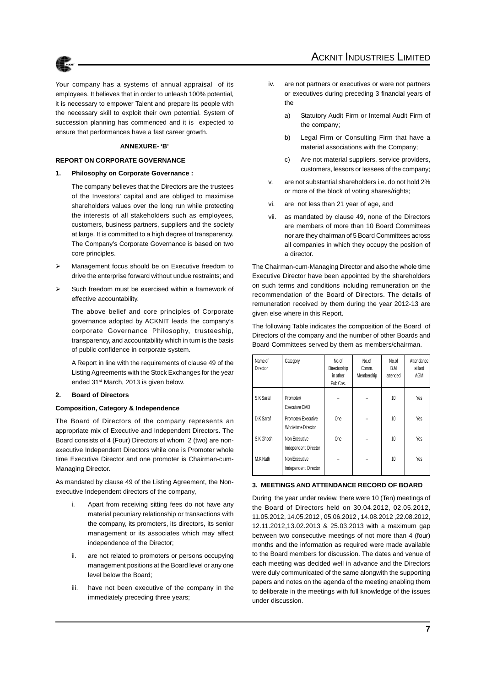



Your company has a systems of annual appraisal of its employees. It believes that in order to unleash 100% potential, it is necessary to empower Talent and prepare its people with the necessary skill to exploit their own potential. System of succession planning has commenced and it is expected to ensure that performances have a fast career growth.

#### **ANNEXURE- 'B'**

#### **REPORT ON CORPORATE GOVERNANCE**

#### **1. Philosophy on Corporate Governance :**

The company believes that the Directors are the trustees of the Investors' capital and are obliged to maximise shareholders values over the long run while protecting the interests of all stakeholders such as employees, customers, business partners, suppliers and the society at large. It is committed to a high degree of transparency. The Company's Corporate Governance is based on two core principles.

- Management focus should be on Executive freedom to drive the enterprise forward without undue restraints; and
- Such freedom must be exercised within a framework of effective accountability.

The above belief and core principles of Corporate governance adopted by ACKNIT leads the company's corporate Governance Philosophy, trusteeship, transparency, and accountability which in turn is the basis of public confidence in corporate system.

A Report in line with the requirements of clause 49 of the Listing Agreements with the Stock Exchanges for the year ended 31st March, 2013 is given below.

#### **2. Board of Directors**

#### **Composition, Category & Independence**

The Board of Directors of the company represents an appropriate mix of Executive and Independent Directors. The Board consists of 4 (Four) Directors of whom 2 (two) are nonexecutive Independent Directors while one is Promoter whole time Executive Director and one promoter is Chairman-cum-Managing Director.

As mandated by clause 49 of the Listing Agreement, the Nonexecutive Independent directors of the company,

- i. Apart from receiving sitting fees do not have any material pecuniary relationship or transactions with the company, its promoters, its directors, its senior management or its associates which may affect independence of the Director;
- ii. are not related to promoters or persons occupying management positions at the Board level or any one level below the Board;
- iii. have not been executive of the company in the immediately preceding three years;
- iv. are not partners or executives or were not partners or executives during preceding 3 financial years of the
	- a) Statutory Audit Firm or Internal Audit Firm of the company;
	- b) Legal Firm or Consulting Firm that have a material associations with the Company;
	- c) Are not material suppliers, service providers, customers, lessors or lessees of the company;
- v. are not substantial shareholders i.e. do not hold 2% or more of the block of voting shares/rights;
- vi. are not less than 21 year of age, and
- vii. as mandated by clause 49, none of the Directors are members of more than 10 Board Committees nor are they chairman of 5 Board Committees across all companies in which they occupy the position of a director.

The Chairman-cum-Managing Director and also the whole time Executive Director have been appointed by the shareholders on such terms and conditions including remuneration on the recommendation of the Board of Directors. The details of remuneration received by them during the year 2012-13 are given else where in this Report.

The following Table indicates the composition of the Board of Directors of the company and the number of other Boards and Board Committees served by them as members/chairman.

| Name of<br><b>Director</b> | Category                                        | No.of<br>Directorship<br>in other<br>Pub Cos. | No.of<br>Comm.<br>Membership | No.of<br>B.M<br>attended | Attendance<br>at last<br>AGM |
|----------------------------|-------------------------------------------------|-----------------------------------------------|------------------------------|--------------------------|------------------------------|
| S.K Saraf                  | Promoter/<br>Executive CMD                      |                                               |                              | 10 <sup>10</sup>         | <b>Yes</b>                   |
| D.K Saraf                  | Promoter/Executive<br><b>Wholetime Director</b> | One                                           |                              | 10 <sup>10</sup>         | Yes                          |
| S.K Ghosh                  | Non Executive<br>Independent Director           | One                                           |                              | 10 <sup>10</sup>         | Yes                          |
| M.K Nath                   | Non Executive<br>Independent Director           |                                               |                              | 10 <sup>10</sup>         | Yes                          |

#### **3. MEETINGS AND ATTENDANCE RECORD OF BOARD**

During the year under review, there were 10 (Ten) meetings of the Board of Directors held on 30.04.2012, 02.05.2012, 11.05.2012, 14.05.2012 , 05.06.2012 , 14.08.2012 ,22.08.2012, 12.11.2012,13.02.2013 & 25.03.2013 with a maximum gap between two consecutive meetings of not more than 4 (four) months and the information as required were made available to the Board members for discussion. The dates and venue of each meeting was decided well in advance and the Directors were duly communicated of the same alongwith the supporting papers and notes on the agenda of the meeting enabling them to deliberate in the meetings with full knowledge of the issues under discussion.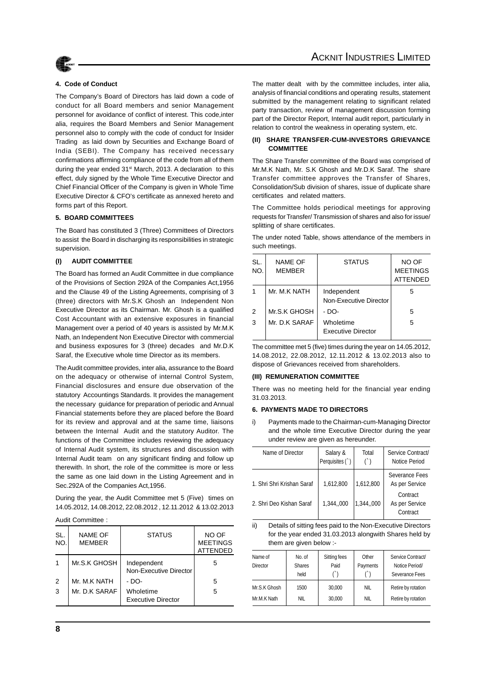

#### **4. Code of Conduct**

The Company's Board of Directors has laid down a code of conduct for all Board members and senior Management personnel for avoidance of conflict of interest. This code,inter alia, requires the Board Members and Senior Management personnel also to comply with the code of conduct for Insider Trading as laid down by Securities and Exchange Board of India (SEBI). The Company has received necessary confirmations affirming compliance of the code from all of them during the year ended 31<sup>st</sup> March, 2013. A declaration to this effect, duly signed by the Whole Time Executive Director and Chief Financial Officer of the Company is given in Whole Time Executive Director & CFO's certificate as annexed hereto and forms part of this Report.

#### **5. BOARD COMMITTEES**

The Board has constituted 3 (Three) Committees of Directors to assist the Board in discharging its responsibilities in strategic supervision.

#### **(I) AUDIT COMMITTEE**

The Board has formed an Audit Committee in due compliance of the Provisions of Section 292A of the Companies Act,1956 and the Clause 49 of the Listing Agreements, comprising of 3 (three) directors with Mr.S.K Ghosh an Independent Non Executive Director as its Chairman. Mr. Ghosh is a qualified Cost Accountant with an extensive exposures in financial Management over a period of 40 years is assisted by Mr.M.K Nath, an Independent Non Executive Director with commercial and business exposures for 3 (three) decades and Mr.D.K Saraf, the Executive whole time Director as its members.

The Audit committee provides, inter alia, assurance to the Board on the adequacy or otherwise of internal Control System, Financial disclosures and ensure due observation of the statutory Accountings Standards. It provides the management the necessary guidance for preparation of periodic and Annual Financial statements before they are placed before the Board for its review and approval and at the same time, liaisons between the Internal Audit and the statutory Auditor. The functions of the Committee includes reviewing the adequacy of Internal Audit system, its structures and discussion with Internal Audit team on any significant finding and follow up therewith. In short, the role of the committee is more or less the same as one laid down in the Listing Agreement and in Sec.292A of the Companies Act,1956.

During the year, the Audit Committee met 5 (Five) times on 14.05.2012, 14.08.2012, 22.08.2012 , 12.11.2012 & 13.02.2013

Audit Committee :

| SL.<br>NO. | NAME OF<br><b>MEMBER</b> | <b>STATUS</b>                          | NO OF<br><b>MEETINGS</b><br><b>ATTENDED</b> |
|------------|--------------------------|----------------------------------------|---------------------------------------------|
|            | Mr.S.K GHOSH             | Independent<br>Non-Executive Director  | 5                                           |
| 2          | Mr. M.K NATH             | - DO-                                  | 5                                           |
| 3          | Mr. D.K SARAF            | Wholetime<br><b>Executive Director</b> | 5                                           |

The matter dealt with by the committee includes, inter alia, analysis of financial conditions and operating results, statement submitted by the management relating to significant related party transaction, review of management discussion forming part of the Director Report, Internal audit report, particularly in relation to control the weakness in operating system, etc.

#### **(II) SHARE TRANSFER-CUM-INVESTORS GRIEVANCE COMMITTEE**

The Share Transfer committee of the Board was comprised of Mr.M.K Nath, Mr. S.K Ghosh and Mr.D.K Saraf. The share Transfer committee approves the Transfer of Shares, Consolidation/Sub division of shares, issue of duplicate share certificates and related matters.

The Committee holds periodical meetings for approving requests for Transfer/ Transmission of shares and also for issue/ splitting of share certificates.

| The under noted Table, shows attendance of the members in |  |  |  |
|-----------------------------------------------------------|--|--|--|
| such meetings.                                            |  |  |  |

| SL.<br>NO. | <b>NAME OF</b><br><b>MEMBER</b> | <b>STATUS</b>                         | NO OF<br><b>MEETINGS</b><br><b>ATTENDED</b> |
|------------|---------------------------------|---------------------------------------|---------------------------------------------|
|            | Mr. M.K NATH                    | Independent<br>Non-Executive Director | 5                                           |
| 2          | Mr.S.K GHOSH                    | $- DO-$                               | 5                                           |
| 3          | Mr. D.K SARAF                   | Wholetime<br>Executive Director       | 5                                           |

The committee met 5 (five) times during the year on 14.05.2012, 14.08.2012, 22.08.2012, 12.11.2012 & 13.02.2013 also to dispose of Grievances received from shareholders.

#### **(III) REMUNERATION COMMITTEE**

There was no meeting held for the financial year ending 31.03.2013.

#### **6. PAYMENTS MADE TO DIRECTORS**

i) Payments made to the Chairman-cum-Managing Director and the whole time Executive Director during the year under review are given as hereunder.

| Name of Director           | Salary &<br>Perquisites (`) | Total<br>$($ ) | Service Contract/<br>Notice Period     |
|----------------------------|-----------------------------|----------------|----------------------------------------|
| 1. Shri Shri Krishan Saraf | 1,612,800                   | 1,612,800      | Severance Fees<br>As per Service       |
| 2. Shri Deo Kishan Saraf   | 1,344,,000                  | 1,344,000      | Contract<br>As per Service<br>Contract |

ii) Details of sitting fees paid to the Non-Executive Directors for the year ended 31.03.2013 alongwith Shares held by them are given below :-

| Name of         | No. of        | Sitting fees | Other    | Service Contract/  |
|-----------------|---------------|--------------|----------|--------------------|
| <b>Director</b> | <b>Shares</b> | Paid         | Payments | Notice Period/     |
|                 | held          |              |          | Severance Fees     |
| Mr.S.K Ghosh    | 1500          | 30.000       | NIL.     | Retire by rotation |
| Mr.M.K Nath     | NIL           | 30.000       | NIL.     | Retire by rotation |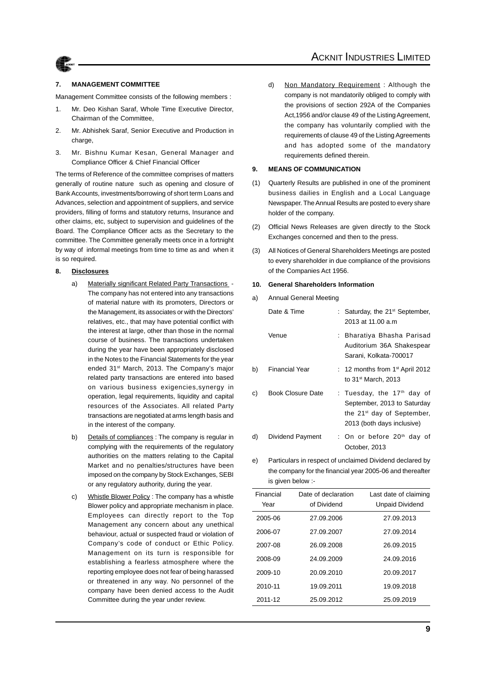

### **7. MANAGEMENT COMMITTEE**

Management Committee consists of the following members :

- 1. Mr. Deo Kishan Saraf, Whole Time Executive Director, Chairman of the Committee,
- 2. Mr. Abhishek Saraf, Senior Executive and Production in charge.
- 3. Mr. Bishnu Kumar Kesan, General Manager and Compliance Officer & Chief Financial Officer

The terms of Reference of the committee comprises of matters generally of routine nature such as opening and closure of Bank Accounts, investments/borrowing of short term Loans and Advances, selection and appointment of suppliers, and service providers, filling of forms and statutory returns, Insurance and other claims, etc, subject to supervision and guidelines of the Board. The Compliance Officer acts as the Secretary to the committee. The Committee generally meets once in a fortnight by way of informal meetings from time to time as and when it is so required.

#### **8. Disclosures**

- a) Materially significant Related Party Transactions The company has not entered into any transactions of material nature with its promoters, Directors or the Management, its associates or with the Directors' relatives, etc., that may have potential conflict with the interest at large, other than those in the normal course of business. The transactions undertaken during the year have been appropriately disclosed in the Notes to the Financial Statements for the year ended 31st March, 2013. The Company's major related party transactions are entered into based on various business exigencies,synergy in operation, legal requirements, liquidity and capital resources of the Associates. All related Party transactions are negotiated at arms length basis and in the interest of the company.
- b) Details of compliances : The company is regular in complying with the requirements of the regulatory authorities on the matters relating to the Capital Market and no penalties/structures have been imposed on the company by Stock Exchanges, SEBI or any regulatory authority, during the year.
- c) Whistle Blower Policy : The company has a whistle Blower policy and appropriate mechanism in place. Employees can directly report to the Top Management any concern about any unethical behaviour, actual or suspected fraud or violation of Company's code of conduct or Ethic Policy. Management on its turn is responsible for establishing a fearless atmosphere where the reporting employee does not fear of being harassed or threatened in any way. No personnel of the company have been denied access to the Audit Committee during the year under review.

d) Non Mandatory Requirement : Although the company is not mandatorily obliged to comply with the provisions of section 292A of the Companies Act,1956 and/or clause 49 of the Listing Agreement, the company has voluntarily complied with the requirements of clause 49 of the Listing Agreements and has adopted some of the mandatory requirements defined therein.

#### **9. MEANS OF COMMUNICATION**

- (1) Quarterly Results are published in one of the prominent business dailies in English and a Local Language Newspaper. The Annual Results are posted to every share holder of the company.
- (2) Official News Releases are given directly to the Stock Exchanges concerned and then to the press.
- (3) All Notices of General Shareholders Meetings are posted to every shareholder in due compliance of the provisions of the Companies Act 1956.

#### **10. General Shareholders Information**

a) Annual General Meeting

|    | Date & Time              | : Saturday, the 21 <sup>st</sup> September,<br>2013 at 11.00 a.m                                                                              |
|----|--------------------------|-----------------------------------------------------------------------------------------------------------------------------------------------|
|    | Venue                    | : Bharatiya Bhasha Parisad<br>Auditorium 36A Shakespear<br>Sarani, Kolkata-700017                                                             |
| b) | Financial Year           | $\frac{1}{2}$ 12 months from 1 <sup>st</sup> April 2012<br>to $31st$ March, 2013                                                              |
| C) | <b>Book Closure Date</b> | : Tuesday, the 17 <sup>th</sup> day of<br>September, 2013 to Saturday<br>the 21 <sup>st</sup> day of September,<br>2013 (both days inclusive) |
| d) | Dividend Payment         | : On or before 20th day of<br>October, 2013                                                                                                   |

e) Particulars in respect of unclaimed Dividend declared by the company for the financial year 2005-06 and thereafter is given below :-

| Financial<br>Year | Date of declaration<br>of Dividend | Last date of claiming<br>Unpaid Dividend |
|-------------------|------------------------------------|------------------------------------------|
| 2005-06           | 27.09.2006                         | 27.09.2013                               |
| 2006-07           | 27.09.2007                         | 27.09.2014                               |
| 2007-08           | 26.09.2008                         | 26.09.2015                               |
| 2008-09           | 24.09.2009                         | 24.09.2016                               |
| 2009-10           | 20.09.2010                         | 20.09.2017                               |
| 2010-11           | 19.09.2011                         | 19.09.2018                               |
| 2011-12           | 25.09.2012                         | 25.09.2019                               |
|                   |                                    |                                          |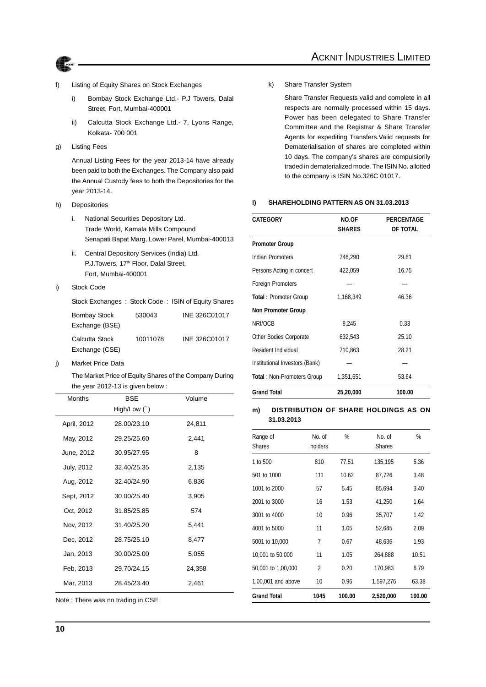

ACKNIT INDUSTRIES LIMITED

- Listing of Equity Shares on Stock Exchanges
	- i) Bombay Stock Exchange Ltd.- P.J Towers, Dalal Street, Fort, Mumbai-400001
	- ii) Calcutta Stock Exchange Ltd.- 7, Lyons Range, Kolkata- 700 001
- g) Listing Fees

Annual Listing Fees for the year 2013-14 have already been paid to both the Exchanges. The Company also paid the Annual Custody fees to both the Depositories for the year 2013-14.

- h) Depositories
	- i. National Securities Depository Ltd. Trade World, Kamala Mills Compound Senapati Bapat Marg, Lower Parel, Mumbai-400013
	- ii. Central Depository Services (India) Ltd. P.J.Towers, 17<sup>th</sup> Floor, Dalal Street, Fort, Mumbai-400001
- i) Stock Code

|                                       |          | Stock Exchanges: Stock Code: ISIN of Equity Shares |
|---------------------------------------|----------|----------------------------------------------------|
| <b>Bombay Stock</b><br>Exchange (BSE) | 530043   | INE 326C01017                                      |
| Calcutta Stock<br>Exchange (CSE)      | 10011078 | INE 326C01017                                      |

j) Market Price Data

The Market Price of Equity Shares of the Company During the year 2012-13 is given below :

| <b>Months</b> | <b>BSE</b>     | Volume |
|---------------|----------------|--------|
|               | High/Low $($ ) |        |
| April, 2012   | 28.00/23.10    | 24,811 |
| May, 2012     | 29.25/25.60    | 2,441  |
| June, 2012    | 30.95/27.95    | 8      |
| July, 2012    | 32.40/25.35    | 2,135  |
| Aug, 2012     | 32.40/24.90    | 6,836  |
| Sept, 2012    | 30.00/25.40    | 3,905  |
| Oct, 2012     | 31.85/25.85    | 574    |
| Nov, 2012     | 31.40/25.20    | 5.441  |
| Dec, 2012     | 28.75/25.10    | 8,477  |
| Jan, 2013     | 30.00/25.00    | 5,055  |
| Feb, 2013     | 29.70/24.15    | 24,358 |
| Mar, 2013     | 28.45/23.40    | 2,461  |
|               |                |        |

Note : There was no trading in CSE

Share Transfer Requests valid and complete in all respects are normally processed within 15 days. Power has been delegated to Share Transfer Committee and the Registrar & Share Transfer Agents for expediting Transfers.Valid requests for Dematerialisation of shares are completed within 10 days. The company's shares are compulsiorily traded in dematerialized mode. The ISIN No. allotted to the company is ISIN No.326C 01017.

#### **l) SHAREHOLDING PATTERN AS ON 31.03.2013**

| <b>CATEGORY</b>                   | NO.OF<br><b>SHARES</b> | <b>PERCENTAGE</b><br>OF TOTAL |
|-----------------------------------|------------------------|-------------------------------|
| <b>Promoter Group</b>             |                        |                               |
| Indian Promoters                  | 746,290                | 29.61                         |
| Persons Acting in concert         | 422,059                | 16.75                         |
| <b>Foreign Promoters</b>          |                        |                               |
| <b>Total: Promoter Group</b>      | 1,168,349              | 46.36                         |
| <b>Non Promoter Group</b>         |                        |                               |
| NRI/OCB                           | 8,245                  | 0.33                          |
| <b>Other Bodies Corporate</b>     | 632,543                | 25.10                         |
| Resident Individual               | 710,863                | 28.21                         |
| Institutional Investors (Bank)    |                        |                               |
| <b>Total: Non-Promoters Group</b> | 1,351,651              | 53.64                         |
| <b>Grand Total</b>                | 25,20,000              | 100.00                        |

#### **m) DISTRIBUTION OF SHARE HOLDINGS AS ON 31.03.2013**

| Range of           | No. of  | %      | No. of        | %      |
|--------------------|---------|--------|---------------|--------|
| <b>Shares</b>      | holders |        | <b>Shares</b> |        |
| 1 to 500           | 810     | 77.51  | 135,195       | 5.36   |
| 501 to 1000        | 111     | 10.62  | 87,726        | 3.48   |
| 1001 to 2000       | 57      | 5.45   | 85,694        | 3.40   |
| 2001 to 3000       | 16      | 1.53   | 41,250        | 1.64   |
| 3001 to 4000       | 10      | 0.96   | 35,707        | 1.42   |
| 4001 to 5000       | 11      | 1.05   | 52,645        | 2.09   |
| 5001 to 10,000     | 7       | 0.67   | 48.636        | 1.93   |
| 10,001 to 50,000   | 11      | 1.05   | 264,888       | 10.51  |
| 50,001 to 1,00,000 | 2       | 0.20   | 170,983       | 6.79   |
| 1,00,001 and above | 10      | 0.96   | 1,597,276     | 63.38  |
| <b>Grand Total</b> | 1045    | 100.00 | 2,520,000     | 100.00 |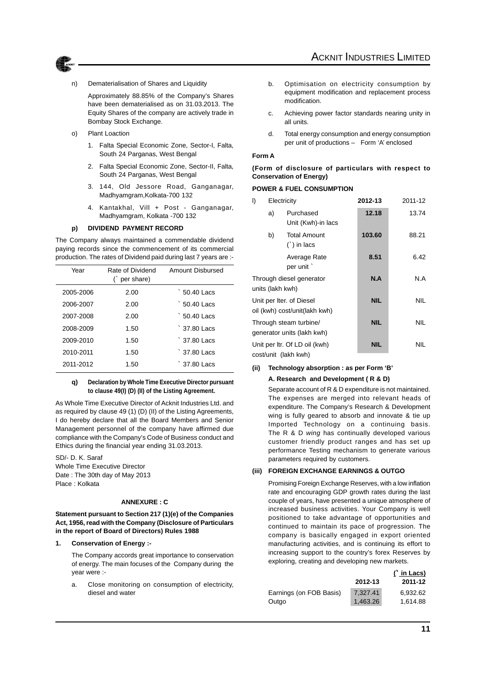

n) Dematerialisation of Shares and Liquidity

Approximately 88.85% of the Company's Shares have been dematerialised as on 31.03.2013. The Equity Shares of the company are actively trade in Bombay Stock Exchange.

- o) Plant Loaction
	- 1. Falta Special Economic Zone, Sector-I, Falta, South 24 Parganas, West Bengal
	- 2. Falta Special Economic Zone, Sector-II, Falta, South 24 Parganas, West Bengal
	- 3. 144, Old Jessore Road, Ganganagar, Madhyamgram,Kolkata-700 132
	- 4. Kantakhal, Vill + Post Ganganagar, Madhyamgram, Kolkata -700 132

#### **p) DIVIDEND PAYMENT RECORD**

The Company always maintained a commendable dividend paying records since the commencement of its commercial production. The rates of Dividend paid during last 7 years are :-

| Year      | Rate of Dividend<br>per share) | Amount Disbursed     |
|-----------|--------------------------------|----------------------|
| 2005-2006 | 2.00                           | $50.40$ L acs        |
| 2006-2007 | 2.00                           | 50.40 Lacs           |
| 2007-2008 | 2.00                           | $\degree$ 50.40 Lacs |
| 2008-2009 | 1.50                           | $\degree$ 37.80 Lacs |
| 2009-2010 | 1.50                           | $\degree$ 37.80 Lacs |
| 2010-2011 | 1.50                           | $\degree$ 37.80 Lacs |
| 2011-2012 | 1.50                           | 37.80 Lacs           |

#### **q) Declaration by Whole Time Executive Director pursuant to clause 49(I) (D) (II) of the Listing Agreement.**

As Whole Time Executive Director of Acknit Industries Ltd. and as required by clause 49 (1) (D) (II) of the Listing Agreements, I do hereby declare that all the Board Members and Senior Management personnel of the company have affirmed due compliance with the Company's Code of Business conduct and Ethics during the financial year ending 31.03.2013.

SD/- D. K. Saraf Whole Time Executive Director Date : The 30th day of May 2013

Place : Kolkata

#### **ANNEXURE : C**

**Statement pursuant to Section 217 (1)(e) of the Companies Act, 1956, read with the Company (Disclosure of Particulars in the report of Board of Directors) Rules 1988**

### **1. Conservation of Energy :-**

The Company accords great importance to conservation of energy. The main focuses of the Company during the year were :-

a. Close monitoring on consumption of electricity, diesel and water

- b. Optimisation on electricity consumption by equipment modification and replacement process modification.
- c. Achieving power factor standards nearing unity in all units.
- d. Total energy consumption and energy consumption per unit of productions – Form 'A' enclosed

#### **Form A**

#### **(Form of disclosure of particulars with respect to Conservation of Energy)**

#### **POWER & FUEL CONSUMPTION**

| I)                                                    | Electricity |                                                           | 2012-13    | 2011-12    |
|-------------------------------------------------------|-------------|-----------------------------------------------------------|------------|------------|
|                                                       | a)          | Purchased<br>Unit (Kwh)-in lacs                           | 12.18      | 13.74      |
|                                                       | b)          | <b>Total Amount</b><br>$($ $)$ in lacs                    | 103.60     | 88.21      |
|                                                       |             | Average Rate<br>per unit `                                | 8.51       | 6.42       |
| Through diesel generator<br>units (lakh kwh)          |             | N.A                                                       | N.A        |            |
|                                                       |             | Unit per Iter. of Diesel<br>oil (kwh) cost/unit(lakh kwh) | <b>NIL</b> | <b>NIL</b> |
| Through steam turbine/<br>generator units (lakh kwh)  |             | <b>NIL</b>                                                | <b>NIL</b> |            |
| Unit per ltr. Of LD oil (kwh)<br>cost/unit (lakh kwh) |             | <b>NIL</b>                                                | NIL        |            |

#### **(ii) Technology absorption : as per Form 'B'**

### **A. Research and Development ( R & D)**

Separate account of R & D expenditure is not maintained. The expenses are merged into relevant heads of expenditure. The Company's Research & Development wing is fully geared to absorb and innovate & tie up Imported Technology on a continuing basis. The R & D *wing* has continually developed various customer friendly product ranges and has set up performance Testing mechanism to generate various parameters required by customers.

#### **(iii) FOREIGN EXCHANGE EARNINGS & OUTGO**

Promising Foreign Exchange Reserves, with a low inflation rate and encouraging GDP growth rates during the last couple of years, have presented a unique atmosphere of increased business activities. Your Company is well positioned to take advantage of opportunities and continued to maintain its pace of progression. The company is basically engaged in export oriented manufacturing activities, and is continuing its effort to increasing support to the country's forex Reserves by exploring, creating and developing new markets.

|          | (` in Lacs) |
|----------|-------------|
| 2012-13  | 2011-12     |
| 7.327.41 | 6.932.62    |
| 1,463.26 | 1,614.88    |
|          |             |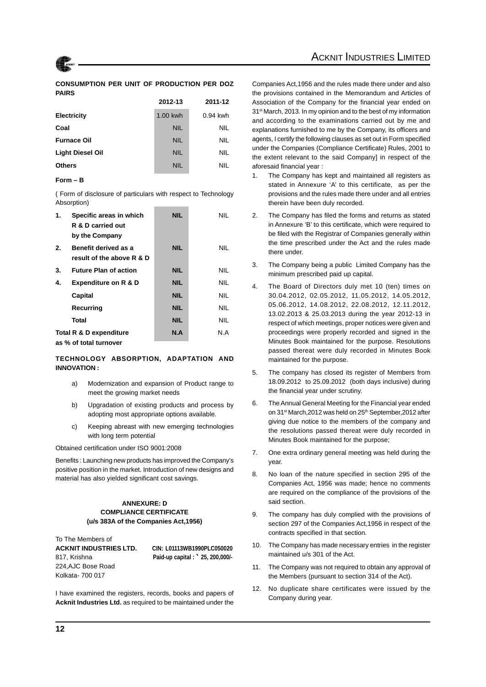

#### **CONSUMPTION PER UNIT OF PRODUCTION PER DOZ PAIRS**

|                         | 2012-13    | 2011-12    |
|-------------------------|------------|------------|
| Electricity             | 1.00 kwh   | $0.94$ kwh |
| Coal                    | <b>NIL</b> | <b>NIL</b> |
| <b>Furnace Oil</b>      | <b>NIL</b> | <b>NIL</b> |
| <b>Light Diesel Oil</b> | <b>NIL</b> | <b>NIL</b> |
| <b>Others</b>           | <b>NIL</b> | <b>NIL</b> |

#### **Form – B**

( Form of disclosure of particulars with respect to Technology Absorption)

| 1. | Specific areas in which<br><b>R &amp; D carried out</b><br>by the Company | <b>NIL</b> | <b>NIL</b> |
|----|---------------------------------------------------------------------------|------------|------------|
| 2. | Benefit derived as a<br>result of the above R & D                         | <b>NIL</b> | <b>NIL</b> |
| 3. | <b>Future Plan of action</b>                                              | <b>NIL</b> | <b>NIL</b> |
| 4. | <b>Expenditure on R &amp; D</b>                                           | <b>NIL</b> | <b>NIL</b> |
|    | Capital                                                                   | <b>NIL</b> | <b>NIL</b> |
|    | Recurring                                                                 | <b>NIL</b> | <b>NIL</b> |
|    | Total                                                                     | <b>NIL</b> | <b>NIL</b> |
|    | <b>Total R &amp; D expenditure</b><br>as % of total turnover              | N.A        | N.A        |

#### **TECHNOLOGY ABSORPTION, ADAPTATION AND INNOVATION :**

- a) Modernization and expansion of Product range to meet the growing market needs
- b) Upgradation of existing products and process by adopting most appropriate options available.
- c) Keeping abreast with new emerging technologies with long term potential

Obtained certification under ISO 9001:2008

Benefits : Launching new products has improved the Company's positive position in the market. Introduction of new designs and material has also yielded significant cost savings.

#### **ANNEXURE: D COMPLIANCE CERTIFICATE (u/s 383A of the Companies Act,1956)**

To The Members of **ACKNIT INDUSTRIES LTD. CIN: L01113WB1990PLC050020** 817, Krishna **Paid-up capital :** ` **25, 200,000/-** 224,AJC Bose Road Kolkata- 700 017

I have examined the registers, records, books and papers of **Acknit Industries Ltd.** as required to be maintained under the Companies Act,1956 and the rules made there under and also the provisions contained in the Memorandum and Articles of Association of the Company for the financial year ended on 31st March, 2013. In my opinion and to the best of my information and according to the examinations carried out by me and explanations furnished to me by the Company, its officers and agents, I certify the following clauses as set out in Form specified under the Companies (Compliance Certificate) Rules, 2001 to the extent relevant to the said Company] in respect of the aforesaid financial year :

- 1. The Company has kept and maintained all registers as stated in Annexure 'A' to this certificate, as per the provisions and the rules made there under and all entries therein have been duly recorded.
- 2. The Company has filed the forms and returns as stated in Annexure 'B' to this certificate, which were required to be filed with the Registrar of Companies generally within the time prescribed under the Act and the rules made there under.
- 3. The Company being a public Limited Company has the minimum prescribed paid up capital.
- 4. The Board of Directors duly met 10 (ten) times on 30.04.2012, 02.05.2012, 11.05.2012, 14.05.2012, 05.06.2012, 14.08.2012, 22.08.2012, 12.11.2012, 13.02.2013 & 25.03.2013 during the year 2012-13 in respect of which meetings, proper notices were given and proceedings were properly recorded and signed in the Minutes Book maintained for the purpose. Resolutions passed thereat were duly recorded in Minutes Book maintained for the purpose.
- 5. The company has closed its register of Members from 18.09.2012 to 25.09.2012 (both days inclusive) during the financial year under scrutiny.
- 6. The Annual General Meeting for the Financial year ended on 31<sup>st</sup> March, 2012 was held on 25<sup>th</sup> September, 2012 after giving due notice to the members of the company and the resolutions passed thereat were duly recorded in Minutes Book maintained for the purpose;
- 7. One extra ordinary general meeting was held during the year.
- 8. No loan of the nature specified in section 295 of the Companies Act, 1956 was made; hence no comments are required on the compliance of the provisions of the said section.
- 9. The company has duly complied with the provisions of section 297 of the Companies Act,1956 in respect of the contracts specified in that section.
- 10. The Company has made necessary entries in the register maintained u/s 301 of the Act.
- 11. The Company was not required to obtain any approval of the Members (pursuant to section 314 of the Act).
- 12. No duplicate share certificates were issued by the Company during year.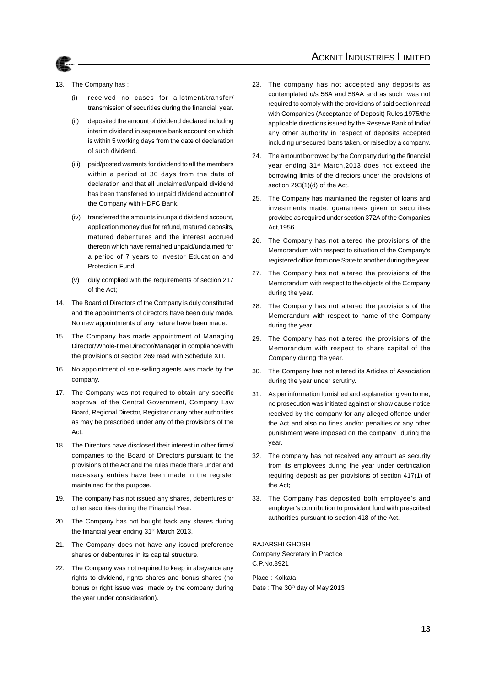

- 13. The Company has :
	- (i) received no cases for allotment/transfer/ transmission of securities during the financial year.
	- (ii) deposited the amount of dividend declared including interim dividend in separate bank account on which is within 5 working days from the date of declaration of such dividend.
	- (iii) paid/posted warrants for dividend to all the members within a period of 30 days from the date of declaration and that all unclaimed/unpaid dividend has been transferred to unpaid dividend account of the Company with HDFC Bank.
	- (iv) transferred the amounts in unpaid dividend account, application money due for refund, matured deposits, matured debentures and the interest accrued thereon which have remained unpaid/unclaimed for a period of 7 years to Investor Education and Protection Fund.
	- (v) duly complied with the requirements of section 217 of the Act;
- 14. The Board of Directors of the Company is duly constituted and the appointments of directors have been duly made. No new appointments of any nature have been made.
- 15. The Company has made appointment of Managing Director/Whole-time Director/Manager in compliance with the provisions of section 269 read with Schedule XIII.
- 16. No appointment of sole-selling agents was made by the company.
- 17. The Company was not required to obtain any specific approval of the Central Government, Company Law Board, Regional Director, Registrar or any other authorities as may be prescribed under any of the provisions of the Act.
- 18. The Directors have disclosed their interest in other firms/ companies to the Board of Directors pursuant to the provisions of the Act and the rules made there under and necessary entries have been made in the register maintained for the purpose.
- 19. The company has not issued any shares, debentures or other securities during the Financial Year.
- 20. The Company has not bought back any shares during the financial year ending 31<sup>st</sup> March 2013.
- 21. The Company does not have any issued preference shares or debentures in its capital structure.
- 22. The Company was not required to keep in abeyance any rights to dividend, rights shares and bonus shares (no bonus or right issue was made by the company during the year under consideration).
- 23. The company has not accepted any deposits as contemplated u/s 58A and 58AA and as such was not required to comply with the provisions of said section read with Companies (Acceptance of Deposit) Rules,1975/the applicable directions issued by the Reserve Bank of India/ any other authority in respect of deposits accepted including unsecured loans taken, or raised by a company.
- 24. The amount borrowed by the Company during the financial year ending 31st March,2013 does not exceed the borrowing limits of the directors under the provisions of section 293(1)(d) of the Act.
- 25. The Company has maintained the register of loans and investments made, guarantees given or securities provided as required under section 372A of the Companies Act,1956.
- 26. The Company has not altered the provisions of the Memorandum with respect to situation of the Company's registered office from one State to another during the year.
- 27. The Company has not altered the provisions of the Memorandum with respect to the objects of the Company during the year.
- 28. The Company has not altered the provisions of the Memorandum with respect to name of the Company during the year.
- 29. The Company has not altered the provisions of the Memorandum with respect to share capital of the Company during the year.
- 30. The Company has not altered its Articles of Association during the year under scrutiny.
- 31. As per information furnished and explanation given to me, no prosecution was initiated against or show cause notice received by the company for any alleged offence under the Act and also no fines and/or penalties or any other punishment were imposed on the company during the year.
- 32. The company has not received any amount as security from its employees during the year under certification requiring deposit as per provisions of section 417(1) of the Act;
- 33. The Company has deposited both employee's and employer's contribution to provident fund with prescribed authorities pursuant to section 418 of the Act.

RAJARSHI GHOSH Company Secretary in Practice C.P.No.8921

Place : Kolkata Date : The 30<sup>th</sup> day of May, 2013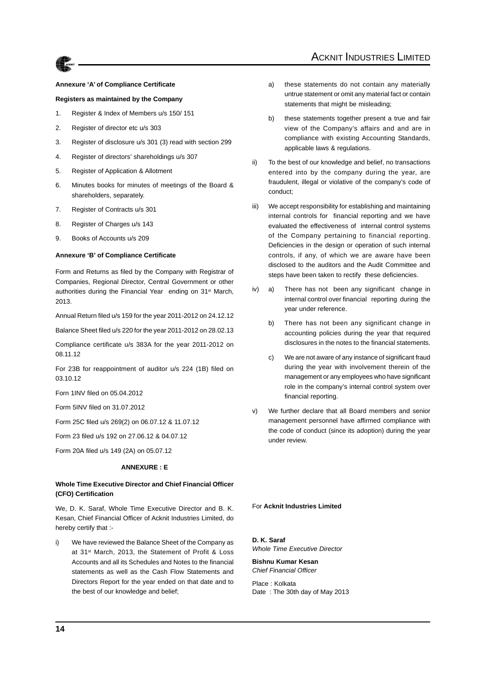## ACKNIT INDUSTRIES LIMITED

#### **Annexure 'A' of Compliance Certificate**

#### **Registers as maintained by the Company**

- 1. Register & Index of Members u/s 150/ 151
- 2. Register of director etc u/s 303
- 3. Register of disclosure u/s 301 (3) read with section 299
- 4. Register of directors' shareholdings u/s 307
- 5. Register of Application & Allotment
- 6. Minutes books for minutes of meetings of the Board & shareholders, separately.
- 7. Register of Contracts u/s 301
- 8. Register of Charges u/s 143
- 9. Books of Accounts u/s 209

#### **Annexure 'B' of Compliance Certificate**

Form and Returns as filed by the Company with Registrar of Companies, Regional Director, Central Government or other authorities during the Financial Year ending on 31<sup>st</sup> March, 2013.

Annual Return filed u/s 159 for the year 2011-2012 on 24.12.12

Balance Sheet filed u/s 220 for the year 2011-2012 on 28.02.13

Compliance certificate u/s 383A for the year 2011-2012 on 08.11.12

For 23B for reappointment of auditor u/s 224 (1B) filed on 03.10.12

Forn 1INV filed on 05.04.2012

Form 5INV filed on 31.07.2012

Form 25C filed u/s 269(2) on 06.07.12 & 11.07.12

Form 23 filed u/s 192 on 27.06.12 & 04.07.12

Form 20A filed u/s 149 (2A) on 05.07.12

#### **ANNEXURE : E**

#### **Whole Time Executive Director and Chief Financial Officer (CFO) Certification**

We, D. K. Saraf, Whole Time Executive Director and B. K. Kesan, Chief Financial Officer of Acknit Industries Limited, do hereby certify that :-

We have reviewed the Balance Sheet of the Company as at 31<sup>st</sup> March, 2013, the Statement of Profit & Loss Accounts and all its Schedules and Notes to the financial statements as well as the Cash Flow Statements and Directors Report for the year ended on that date and to the best of our knowledge and belief;

- a) these statements do not contain any materially untrue statement or omit any material fact or contain statements that might be misleading;
- b) these statements together present a true and fair view of the Company's affairs and and are in compliance with existing Accounting Standards, applicable laws & regulations.
- ii) To the best of our knowledge and belief, no transactions entered into by the company during the year, are fraudulent, illegal or violative of the company's code of conduct;
- iii) We accept responsibility for establishing and maintaining internal controls for financial reporting and we have evaluated the effectiveness of internal control systems of the Company pertaining to financial reporting. Deficiencies in the design or operation of such internal controls, if any, of which we are aware have been disclosed to the auditors and the Audit Committee and steps have been taken to rectify these deficiencies.
- iv) a) There has not been any significant change in internal control over financial reporting during the year under reference.
	- b) There has not been any significant change in accounting policies during the year that required disclosures in the notes to the financial statements.
	- c) We are not aware of any instance of significant fraud during the year with involvement therein of the management or any employees who have significant role in the company's internal control system over financial reporting.
- v) We further declare that all Board members and senior management personnel have affirmed compliance with the code of conduct (since its adoption) during the year under review.

#### For **Acknit Industries Limited**

**D. K. Saraf** *Whole Time Executive Director*

**Bishnu Kumar Kesan** *Chief Financial Officer*

Place : Kolkata Date : The 30th day of May 2013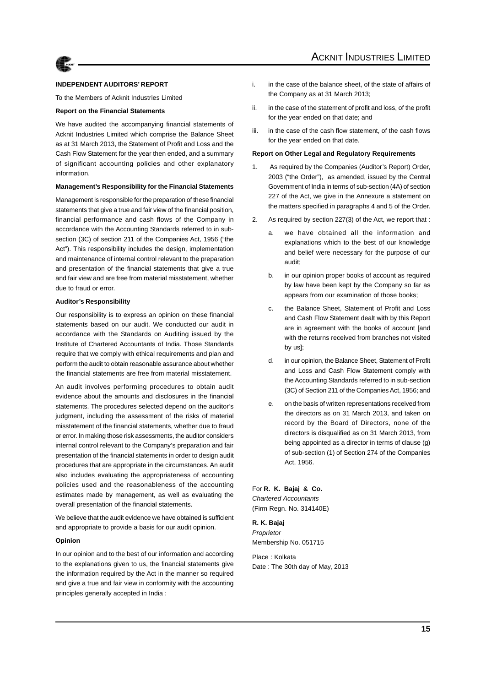

#### **INDEPENDENT AUDITORS' REPORT**

To the Members of Acknit Industries Limited

#### **Report on the Financial Statements**

We have audited the accompanying financial statements of Acknit Industries Limited which comprise the Balance Sheet as at 31 March 2013, the Statement of Profit and Loss and the Cash Flow Statement for the year then ended, and a summary of significant accounting policies and other explanatory information.

#### **Management's Responsibility for the Financial Statements**

Management is responsible for the preparation of these financial statements that give a true and fair view of the financial position, financial performance and cash flows of the Company in accordance with the Accounting Standards referred to in subsection (3C) of section 211 of the Companies Act, 1956 ("the Act"). This responsibility includes the design, implementation and maintenance of internal control relevant to the preparation and presentation of the financial statements that give a true and fair view and are free from material misstatement, whether due to fraud or error.

#### **Auditor's Responsibility**

Our responsibility is to express an opinion on these financial statements based on our audit. We conducted our audit in accordance with the Standards on Auditing issued by the Institute of Chartered Accountants of India. Those Standards require that we comply with ethical requirements and plan and perform the audit to obtain reasonable assurance about whether the financial statements are free from material misstatement.

An audit involves performing procedures to obtain audit evidence about the amounts and disclosures in the financial statements. The procedures selected depend on the auditor's judgment, including the assessment of the risks of material misstatement of the financial statements, whether due to fraud or error. In making those risk assessments, the auditor considers internal control relevant to the Company's preparation and fair presentation of the financial statements in order to design audit procedures that are appropriate in the circumstances. An audit also includes evaluating the appropriateness of accounting policies used and the reasonableness of the accounting estimates made by management, as well as evaluating the overall presentation of the financial statements.

We believe that the audit evidence we have obtained is sufficient and appropriate to provide a basis for our audit opinion.

#### **Opinion**

In our opinion and to the best of our information and according to the explanations given to us, the financial statements give the information required by the Act in the manner so required and give a true and fair view in conformity with the accounting principles generally accepted in India :

- i. in the case of the balance sheet, of the state of affairs of the Company as at 31 March 2013;
- ii. in the case of the statement of profit and loss, of the profit for the year ended on that date; and
- iii. in the case of the cash flow statement, of the cash flows for the year ended on that date.

#### **Report on Other Legal and Regulatory Requirements**

- 1. As required by the Companies (Auditor's Report) Order, 2003 ("the Order"), as amended, issued by the Central Government of India in terms of sub-section (4A) of section 227 of the Act, we give in the Annexure a statement on the matters specified in paragraphs 4 and 5 of the Order.
- 2. As required by section 227(3) of the Act, we report that :
	- a. we have obtained all the information and explanations which to the best of our knowledge and belief were necessary for the purpose of our audit;
	- b. in our opinion proper books of account as required by law have been kept by the Company so far as appears from our examination of those books;
	- c. the Balance Sheet, Statement of Profit and Loss and Cash Flow Statement dealt with by this Report are in agreement with the books of account [and with the returns received from branches not visited by us];
	- d. in our opinion, the Balance Sheet, Statement of Profit and Loss and Cash Flow Statement comply with the Accounting Standards referred to in sub-section (3C) of Section 211 of the Companies Act, 1956; and
	- e. on the basis of written representations received from the directors as on 31 March 2013, and taken on record by the Board of Directors, none of the directors is disqualified as on 31 March 2013, from being appointed as a director in terms of clause (g) of sub-section (1) of Section 274 of the Companies Act, 1956.

For **R. K. Bajaj & Co.** *Chartered Accountants* (Firm Regn. No. 314140E)

#### **R. K. Bajaj** *Proprietor* Membership No. 051715

Place : Kolkata Date : The 30th day of May, 2013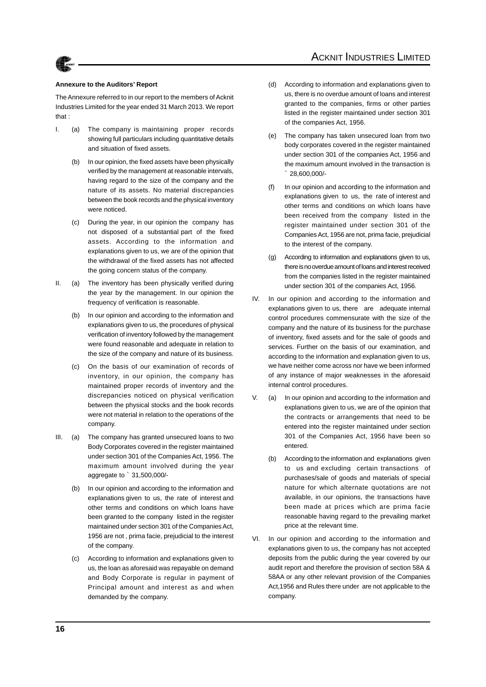#### **Annexure to the Auditors' Report**

The Annexure referred to in our report to the members of Acknit Industries Limited for the year ended 31 March 2013. We report that :

- I. (a) The company is maintaining proper records showing full particulars including quantitative details and situation of fixed assets.
	- (b) In our opinion, the fixed assets have been physically verified by the management at reasonable intervals, having regard to the size of the company and the nature of its assets. No material discrepancies between the book records and the physical inventory were noticed.
	- (c) During the year, in our opinion the company has not disposed of a substantial part of the fixed assets. According to the information and explanations given to us, we are of the opinion that the withdrawal of the fixed assets has not affected the going concern status of the company.
- II. (a) The inventory has been physically verified during the year by the management. In our opinion the frequency of verification is reasonable.
	- (b) In our opinion and according to the information and explanations given to us, the procedures of physical verification of inventory followed by the management were found reasonable and adequate in relation to the size of the company and nature of its business.
	- (c) On the basis of our examination of records of inventory, in our opinion, the company has maintained proper records of inventory and the discrepancies noticed on physical verification between the physical stocks and the book records were not material in relation to the operations of the company.
- III. (a) The company has granted unsecured loans to two Body Corporates covered in the register maintained under section 301 of the Companies Act, 1956. The maximum amount involved during the year aggregate to ` 31,500,000/-
	- (b) In our opinion and according to the information and explanations given to us, the rate of interest and other terms and conditions on which loans have been granted to the company listed in the register maintained under section 301 of the Companies Act, 1956 are not , prima facie, prejudicial to the interest of the company.
	- (c) According to information and explanations given to us, the loan as aforesaid was repayable on demand and Body Corporate is regular in payment of Principal amount and interest as and when demanded by the company.
- (d) According to information and explanations given to us, there is no overdue amount of loans and interest granted to the companies, firms or other parties listed in the register maintained under section 301 of the companies Act, 1956.
- (e) The company has taken unsecured loan from two body corporates covered in the register maintained under section 301 of the companies Act, 1956 and the maximum amount involved in the transaction is  $\degree$  28,600,000/-
- (f) In our opinion and according to the information and explanations given to us, the rate of interest and other terms and conditions on which loans have been received from the company listed in the register maintained under section 301 of the Companies Act, 1956 are not, prima facie, prejudicial to the interest of the company.
- (g) According to information and explanations given to us, there is no overdue amount of loans and interest received from the companies listed in the register maintained under section 301 of the companies Act, 1956.
- IV. In our opinion and according to the information and explanations given to us, there are adequate internal control procedures commensurate with the size of the company and the nature of its business for the purchase of inventory, fixed assets and for the sale of goods and services. Further on the basis of our examination, and according to the information and explanation given to us, we have neither come across nor have we been informed of any instance of major weaknesses in the aforesaid internal control procedures.
- V. (a) In our opinion and according to the information and explanations given to us, we are of the opinion that the contracts or arrangements that need to be entered into the register maintained under section 301 of the Companies Act, 1956 have been so entered.
	- (b) According to the information and explanations given to us and excluding certain transactions of purchases/sale of goods and materials of special nature for which alternate quotations are not available, in our opinions, the transactions have been made at prices which are prima facie reasonable having regard to the prevailing market price at the relevant time.
- VI. In our opinion and according to the information and explanations given to us, the company has not accepted deposits from the public during the year covered by our audit report and therefore the provision of section 58A & 58AA or any other relevant provision of the Companies Act,1956 and Rules there under are not applicable to the company.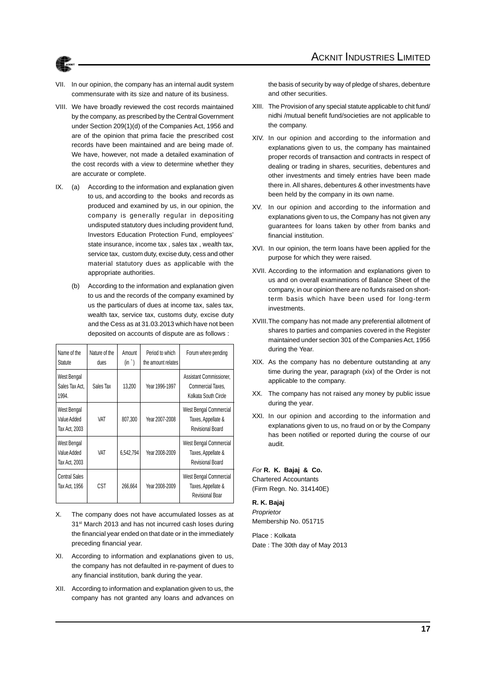

- VII. In our opinion, the company has an internal audit system commensurate with its size and nature of its business.
- VIII. We have broadly reviewed the cost records maintained by the company, as prescribed by the Central Government under Section 209(1)(d) of the Companies Act, 1956 and are of the opinion that prima facie the prescribed cost records have been maintained and are being made of. We have, however, not made a detailed examination of the cost records with a view to determine whether they are accurate or complete.
- IX. (a) According to the information and explanation given to us, and according to the books and records as produced and examined by us, in our opinion, the company is generally regular in depositing undisputed statutory dues including provident fund, Investors Education Protection Fund, employees' state insurance, income tax , sales tax , wealth tax, service tax, custom duty, excise duty, cess and other material statutory dues as applicable with the appropriate authorities.
	- (b) According to the information and explanation given to us and the records of the company examined by us the particulars of dues at income tax, sales tax, wealth tax, service tax, customs duty, excise duty and the Cess as at 31.03.2013 which have not been deposited on accounts of dispute are as follows :

| Name of the<br><b>Statute</b>               | Nature of the<br>dues | Amount<br>$(in^{\cdot})$ | Period to which<br>the amount relates | Forum where pending                                                     |
|---------------------------------------------|-----------------------|--------------------------|---------------------------------------|-------------------------------------------------------------------------|
| West Bengal<br>Sales Tax Act.<br>1994.      | Sales Tax             | 13,200                   | Year 1996-1997                        | Assistant Commissioner,<br>Commercial Taxes.<br>Kolkata South Circle    |
| West Bengal<br>Value Added<br>Tax Act, 2003 | VAT                   | 807.300                  | Year 2007-2008                        | West Bengal Commercial<br>Taxes, Appellate &<br><b>Revisional Board</b> |
| West Bengal<br>Value Added<br>Tax Act, 2003 | VAT                   | 6,542,794                | Year 2008-2009                        | West Bengal Commercial<br>Taxes, Appellate &<br>Revisional Board        |
| <b>Central Sales</b><br>Tax Act, 1956       | CST                   | 266,664                  | Year 2008-2009                        | West Bengal Commercial<br>Taxes, Appellate &<br><b>Revisional Boar</b>  |

- X. The company does not have accumulated losses as at 31<sup>st</sup> March 2013 and has not incurred cash loses during the financial year ended on that date or in the immediately preceding financial year.
- XI. According to information and explanations given to us, the company has not defaulted in re-payment of dues to any financial institution, bank during the year.
- XII. According to information and explanation given to us, the company has not granted any loans and advances on

the basis of security by way of pledge of shares, debenture and other securities.

- XIII. The Provision of any special statute applicable to chit fund/ nidhi /mutual benefit fund/societies are not applicable to the company.
- XIV. In our opinion and according to the information and explanations given to us, the company has maintained proper records of transaction and contracts in respect of dealing or trading in shares, securities, debentures and other investments and timely entries have been made there in. All shares, debentures & other investments have been held by the company in its own name.
- XV. In our opinion and according to the information and explanations given to us, the Company has not given any guarantees for loans taken by other from banks and financial institution.
- XVI. In our opinion, the term loans have been applied for the purpose for which they were raised.
- XVII. According to the information and explanations given to us and on overall examinations of Balance Sheet of the company, in our opinion there are no funds raised on shortterm basis which have been used for long-term investments.
- XVIII.The company has not made any preferential allotment of shares to parties and companies covered in the Register maintained under section 301 of the Companies Act, 1956 during the Year.
- XIX. As the company has no debenture outstanding at any time during the year, paragraph (xix) of the Order is not applicable to the company.
- XX. The company has not raised any money by public issue during the year.
- XXI. In our opinion and according to the information and explanations given to us, no fraud on or by the Company has been notified or reported during the course of our audit.

#### *For* **R. K. Bajaj & Co.**

Chartered Accountants (Firm Regn. No. 314140E)

#### **R. K. Bajaj** *Proprietor*

Membership No. 051715

Place : Kolkata Date : The 30th day of May 2013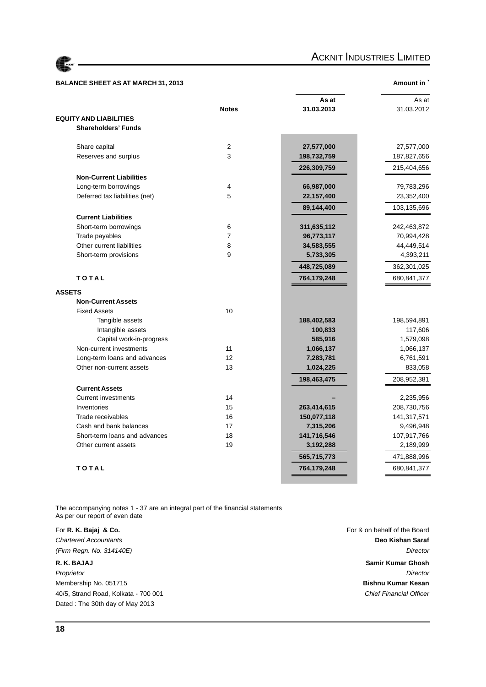

#### **BALANCE SHEET AS AT MARCH 31, 2013 Amount in Amount in Amount in Amount in**

|                                |                | As at       | As at       |
|--------------------------------|----------------|-------------|-------------|
|                                | <b>Notes</b>   | 31.03.2013  | 31.03.2012  |
| <b>EQUITY AND LIABILITIES</b>  |                |             |             |
| <b>Shareholders' Funds</b>     |                |             |             |
| Share capital                  | 2              | 27,577,000  | 27,577,000  |
| Reserves and surplus           | 3              | 198,732,759 | 187,827,656 |
|                                |                | 226,309,759 | 215,404,656 |
| <b>Non-Current Liabilities</b> |                |             |             |
| Long-term borrowings           | 4              | 66,987,000  | 79,783,296  |
| Deferred tax liabilities (net) | 5              | 22,157,400  | 23,352,400  |
|                                |                | 89,144,400  | 103,135,696 |
| <b>Current Liabilities</b>     |                |             |             |
| Short-term borrowings          | 6              | 311,635,112 | 242,463,872 |
| Trade payables                 | $\overline{7}$ | 96,773,117  | 70,994,428  |
| Other current liabilities      | 8              | 34,583,555  | 44,449,514  |
| Short-term provisions          | 9              | 5,733,305   | 4,393,211   |
|                                |                | 448,725,089 | 362,301,025 |
| <b>TOTAL</b>                   |                | 764,179,248 | 680,841,377 |
| <b>ASSETS</b>                  |                |             |             |
| <b>Non-Current Assets</b>      |                |             |             |
| <b>Fixed Assets</b>            | 10             |             |             |
| Tangible assets                |                | 188,402,583 | 198,594,891 |
| Intangible assets              |                | 100,833     | 117,606     |
| Capital work-in-progress       |                | 585,916     | 1,579,098   |
| Non-current investments        | 11             | 1,066,137   | 1,066,137   |
| Long-term loans and advances   | 12             | 7,283,781   | 6,761,591   |
| Other non-current assets       | 13             | 1,024,225   | 833,058     |
|                                |                | 198,463,475 | 208,952,381 |
| <b>Current Assets</b>          |                |             |             |
| <b>Current investments</b>     | 14             |             | 2,235,956   |
| Inventories                    | 15             | 263,414,615 | 208,730,756 |
| Trade receivables              | 16             | 150,077,118 | 141,317,571 |
| Cash and bank balances         | 17             | 7,315,206   | 9,496,948   |
| Short-term loans and advances  | 18             | 141,716,546 | 107,917,766 |
| Other current assets           | 19             | 3,192,288   | 2,189,999   |
|                                |                | 565,715,773 | 471,888,996 |
| <b>TOTAL</b>                   |                | 764,179,248 | 680,841,377 |
|                                |                |             |             |

The accompanying notes 1 - 37 are an integral part of the financial statements As per our report of even date

**R. K. BAJAJ Samir Kumar Ghosh** *Proprietor Director* Membership No. 051715 **Bishnu Kumar Kesan** 40/5, Strand Road, Kolkata - 700 001 *Chief Financial Officer* Dated : The 30th day of May 2013

For **R. K. Bajaj & Co. For R. K. Bajaj & Co. For R. K. Bajaj & Co. For R. K. Bajaj & Co. For R. K. Bajaj & Co. For R. K. Bajaj & Co. For R. K. Bajaj & Co. For R. K. Bajaj & Co. For R. K. Bajaj & Co. For R** *Chartered Accountants* **Deo Kishan Saraf** *(Firm Regn. No. 314140E) Director*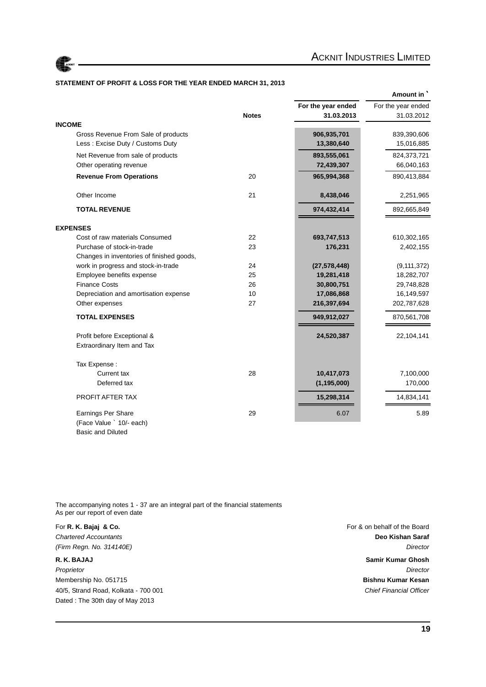

### **STATEMENT OF PROFIT & LOSS FOR THE YEAR ENDED MARCH 31, 2013**

|                                                           |              |                    | Amount in          |
|-----------------------------------------------------------|--------------|--------------------|--------------------|
|                                                           |              | For the year ended | For the year ended |
|                                                           | <b>Notes</b> | 31.03.2013         | 31.03.2012         |
| <b>INCOME</b>                                             |              |                    |                    |
| Gross Revenue From Sale of products                       |              | 906,935,701        | 839,390,606        |
| Less: Excise Duty / Customs Duty                          |              | 13,380,640         | 15,016,885         |
| Net Revenue from sale of products                         |              | 893,555,061        | 824,373,721        |
| Other operating revenue                                   |              | 72,439,307         | 66,040,163         |
| <b>Revenue From Operations</b>                            | 20           | 965,994,368        | 890,413,884        |
| Other Income                                              | 21           | 8,438,046          | 2,251,965          |
| <b>TOTAL REVENUE</b>                                      |              | 974,432,414        | 892,665,849        |
| <b>EXPENSES</b>                                           |              |                    |                    |
| Cost of raw materials Consumed                            | 22           | 693,747,513        | 610,302,165        |
| Purchase of stock-in-trade                                | 23           | 176,231            | 2,402,155          |
| Changes in inventories of finished goods,                 |              |                    |                    |
| work in progress and stock-in-trade                       | 24           | (27, 578, 448)     | (9, 111, 372)      |
| Employee benefits expense                                 | 25           | 19,281,418         | 18,282,707         |
| <b>Finance Costs</b>                                      | 26           | 30,800,751         | 29,748,828         |
| Depreciation and amortisation expense                     | 10<br>27     | 17,086,868         | 16,149,597         |
| Other expenses                                            |              | 216,397,694        | 202,787,628        |
| <b>TOTAL EXPENSES</b>                                     |              | 949,912,027        | 870,561,708        |
| Profit before Exceptional &<br>Extraordinary Item and Tax |              | 24,520,387         | 22,104,141         |
| Tax Expense:                                              |              |                    |                    |
| Current tax                                               | 28           | 10,417,073         | 7,100,000          |
| Deferred tax                                              |              | (1, 195, 000)      | 170,000            |
| PROFIT AFTER TAX                                          |              | 15,298,314         | 14,834,141         |
| Earnings Per Share                                        | 29           | 6.07               | 5.89               |
| (Face Value ` 10/- each)                                  |              |                    |                    |
| <b>Basic and Diluted</b>                                  |              |                    |                    |

The accompanying notes 1 - 37 are an integral part of the financial statements As per our report of even date

*Proprietor Director* Membership No. 051715 **Bishnu Kumar Kesan** 40/5, Strand Road, Kolkata - 700 001 *Chief Financial Officer* Dated : The 30th day of May 2013

For **R. K. Bajaj & Co.** For & on behalf of the Board *Chartered Accountants* **Deo Kishan Saraf** *(Firm Regn. No. 314140E) Director* **R. K. BAJAJ Samir Kumar Ghosh**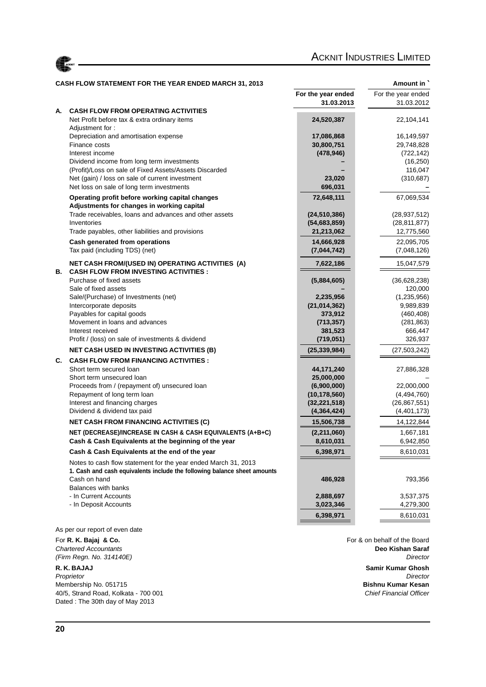

### CASH FLOW STATEMENT FOR THE YEAR ENDED MARCH 31, 2013 **Amount in** ` Amount in `

|                                |                                                                                                                                            | For the year ended | For the year ended |
|--------------------------------|--------------------------------------------------------------------------------------------------------------------------------------------|--------------------|--------------------|
|                                |                                                                                                                                            | 31.03.2013         | 31.03.2012         |
| А.                             | <b>CASH FLOW FROM OPERATING ACTIVITIES</b>                                                                                                 |                    |                    |
| Adjustment for:                | Net Profit before tax & extra ordinary items                                                                                               | 24,520,387         | 22,104,141         |
|                                | Depreciation and amortisation expense                                                                                                      | 17,086,868         | 16,149,597         |
| Finance costs                  |                                                                                                                                            | 30,800,751         | 29,748,828         |
| Interest income                |                                                                                                                                            | (478, 946)         | (722, 142)         |
|                                | Dividend income from long term investments                                                                                                 |                    | (16, 250)          |
|                                | (Profit)/Loss on sale of Fixed Assets/Assets Discarded                                                                                     |                    | 116,047            |
|                                | Net (gain) / loss on sale of current investment                                                                                            | 23,020             | (310, 687)         |
|                                | Net loss on sale of long term investments                                                                                                  | 696,031            |                    |
|                                | Operating profit before working capital changes                                                                                            | 72,648,111         | 67,069,534         |
|                                | Adjustments for changes in working capital                                                                                                 |                    |                    |
|                                | Trade receivables, loans and advances and other assets                                                                                     | (24, 510, 386)     | (28, 937, 512)     |
| Inventories                    |                                                                                                                                            | (54, 683, 859)     | (28, 811, 877)     |
|                                | Trade payables, other liabilities and provisions                                                                                           | 21,213,062         | 12,775,560         |
|                                | Cash generated from operations                                                                                                             | 14,666,928         | 22,095,705         |
|                                | Tax paid (including TDS) (net)                                                                                                             | (7,044,742)        | (7,048,126)        |
|                                | NET CASH FROM/(USED IN) OPERATING ACTIVITIES (A)                                                                                           | 7,622,186          | 15,047,579         |
| В.                             | <b>CASH FLOW FROM INVESTING ACTIVITIES:</b>                                                                                                |                    |                    |
|                                | Purchase of fixed assets                                                                                                                   | (5,884,605)        | (36, 628, 238)     |
| Sale of fixed assets           |                                                                                                                                            |                    | 120,000            |
|                                | Sale/(Purchase) of Investments (net)                                                                                                       | 2,235,956          | (1,235,956)        |
|                                | Intercorporate deposits                                                                                                                    | (21, 014, 362)     | 9,989,839          |
|                                | Payables for capital goods                                                                                                                 | 373,912            | (460, 408)         |
|                                | Movement in loans and advances                                                                                                             | (713, 357)         | (281, 863)         |
| Interest received              |                                                                                                                                            | 381,523            | 666,447            |
|                                | Profit / (loss) on sale of investments & dividend                                                                                          | (719, 051)         | 326,937            |
|                                | <b>NET CASH USED IN INVESTING ACTIVITIES (B)</b>                                                                                           | (25, 339, 984)     | (27, 503, 242)     |
| C.                             | <b>CASH FLOW FROM FINANCING ACTIVITIES :</b>                                                                                               |                    |                    |
|                                | Short term secured loan                                                                                                                    | 44, 171, 240       | 27,886,328         |
|                                | Short term unsecured loan                                                                                                                  | 25,000,000         |                    |
|                                | Proceeds from / (repayment of) unsecured loan                                                                                              | (6,900,000)        | 22,000,000         |
|                                | Repayment of long term loan                                                                                                                | (10, 178, 560)     | (4,494,760)        |
|                                | Interest and financing charges                                                                                                             | (32, 221, 518)     | (26, 867, 551)     |
|                                | Dividend & dividend tax paid                                                                                                               | (4,364,424)        | (4,401,173)        |
|                                | <b>NET CASH FROM FINANCING ACTIVITIES (C)</b>                                                                                              | 15,506,738         | 14,122,844         |
|                                | NET (DECREASE)/INCREASE IN CASH & CASH EQUIVALENTS (A+B+C)                                                                                 | (2,211,060)        | 1,667,181          |
|                                | Cash & Cash Equivalents at the beginning of the year                                                                                       | 8,610,031          | 6,942,850          |
|                                | Cash & Cash Equivalents at the end of the year                                                                                             | 6,398,971          | 8,610,031          |
|                                | Notes to cash flow statement for the year ended March 31, 2013<br>1. Cash and cash equivalents include the following balance sheet amounts |                    |                    |
| Cash on hand                   |                                                                                                                                            | 486,928            | 793,356            |
| <b>Balances with banks</b>     |                                                                                                                                            |                    |                    |
| - In Current Accounts          |                                                                                                                                            | 2,888,697          | 3,537,375          |
| - In Deposit Accounts          |                                                                                                                                            | 3,023,346          | 4,279,300          |
|                                |                                                                                                                                            | 6,398,971          | 8,610,031          |
| As per our report of even date |                                                                                                                                            |                    |                    |

For **R. K. Bajaj & Co. For R. K. Bajaj & Co. For 8** on behalf of the Board Chartered Accountants **For 8** on behalf of the Board Chartered Accountants *(Firm Regn. No. 314140E) Director*

*Proprietor Director* Membership No. 051715 **Bishnu Kumar Kesan** 40/5, Strand Road, Kolkata - 700 001 *Chief Financial Officer* Dated : The 30th day of May 2013

*Chartered Accountants* **Deo Kishan Saraf R. K. BAJAJ Samir Kumar Ghosh**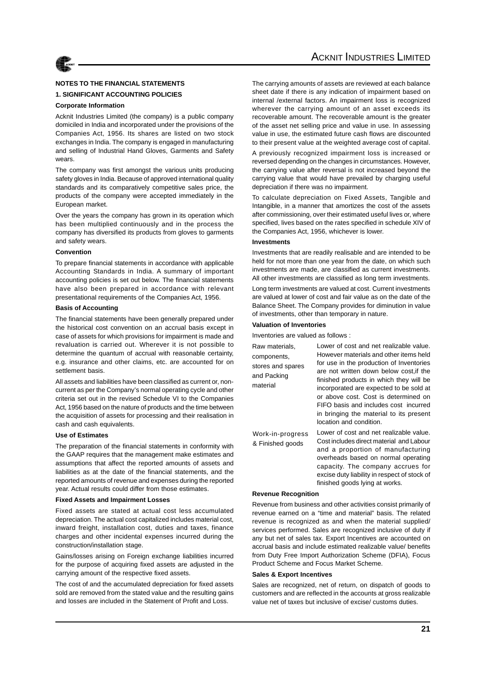

**1. SIGNIFICANT ACCOUNTING POLICIES**

#### **Corporate Information**

Acknit Industries Limited (the company) is a public company domiciled in India and incorporated under the provisions of the Companies Act, 1956. Its shares are listed on two stock exchanges in India. The company is engaged in manufacturing and selling of Industrial Hand Gloves, Garments and Safety wears.

The company was first amongst the various units producing safety gloves in India. Because of approved international quality standards and its comparatively competitive sales price, the products of the company were accepted immediately in the European market.

Over the years the company has grown in its operation which has been multiplied continuously and in the process the company has diversified its products from gloves to garments and safety wears.

#### **Convention**

To prepare financial statements in accordance with applicable Accounting Standards in India. A summary of important accounting policies is set out below. The financial statements have also been prepared in accordance with relevant presentational requirements of the Companies Act, 1956.

#### **Basis of Accounting**

The financial statements have been generally prepared under the historical cost convention on an accrual basis except in case of assets for which provisions for impairment is made and revaluation is carried out. Wherever it is not possible to determine the quantum of accrual with reasonable certainty, e.g. insurance and other claims, etc. are accounted for on settlement basis.

All assets and liabilities have been classified as current or, noncurrent as per the Company's normal operating cycle and other criteria set out in the revised Schedule VI to the Companies Act, 1956 based on the nature of products and the time between the acquisition of assets for processing and their realisation in cash and cash equivalents.

#### **Use of Estimates**

The preparation of the financial statements in conformity with the GAAP requires that the management make estimates and assumptions that affect the reported amounts of assets and liabilities as at the date of the financial statements, and the reported amounts of revenue and expenses during the reported year. Actual results could differ from those estimates.

#### **Fixed Assets and Impairment Losses**

Fixed assets are stated at actual cost less accumulated depreciation. The actual cost capitalized includes material cost, inward freight, installation cost, duties and taxes, finance charges and other incidental expenses incurred during the construction/installation stage.

Gains/losses arising on Foreign exchange liabilities incurred for the purpose of acquiring fixed assets are adjusted in the carrying amount of the respective fixed assets.

The cost of and the accumulated depreciation for fixed assets sold are removed from the stated value and the resulting gains and losses are included in the Statement of Profit and Loss.

The carrying amounts of assets are reviewed at each balance sheet date if there is any indication of impairment based on internal /external factors. An impairment loss is recognized wherever the carrying amount of an asset exceeds its recoverable amount. The recoverable amount is the greater of the asset net selling price and value in use. In assessing value in use, the estimated future cash flows are discounted to their present value at the weighted average cost of capital.

A previously recognized impairment loss is increased or reversed depending on the changes in circumstances. However, the carrying value after reversal is not increased beyond the carrying value that would have prevailed by charging useful depreciation if there was no impairment.

To calculate depreciation on Fixed Assets, Tangible and Intangible, in a manner that amortizes the cost of the assets after commissioning, over their estimated useful lives or, where specified, lives based on the rates specified in schedule XIV of the Companies Act, 1956, whichever is lower.

#### **Investments**

Investments that are readily realisable and are intended to be held for not more than one year from the date, on which such investments are made, are classified as current investments. All other investments are classified as long term investments.

Long term investments are valued at cost. Current investments are valued at lower of cost and fair value as on the date of the Balance Sheet. The Company provides for diminution in value of investments, other than temporary in nature.

#### **Valuation of Inventories**

Inventories are valued as follows :

| Raw materials,<br>components,<br>stores and spares<br>and Packing<br>material | Lower of cost and net realizable value.<br>However materials and other items held<br>for use in the production of Inventories<br>are not written down below cost, if the<br>finished products in which they will be<br>incorporated are expected to be sold at<br>or above cost. Cost is determined on<br>FIFO basis and includes cost incurred<br>in bringing the material to its present<br>location and condition. |
|-------------------------------------------------------------------------------|-----------------------------------------------------------------------------------------------------------------------------------------------------------------------------------------------------------------------------------------------------------------------------------------------------------------------------------------------------------------------------------------------------------------------|
| Work-in-progress<br>& Finished goods                                          | Lower of cost and net realizable value.<br>Cost includes direct material and Labour<br>and a proportion of manufacturing<br>overheads based on normal operating<br>capacity. The company accrues for<br>excise duty liability in respect of stock of<br>finished goods lying at works.                                                                                                                                |

#### **Revenue Recognition**

Revenue from business and other activities consist primarily of revenue earned on a "time and material" basis. The related revenue is recognized as and when the material supplied/ services performed. Sales are recognized inclusive of duty if any but net of sales tax. Export Incentives are accounted on accrual basis and include estimated realizable value/ benefits from Duty Free Import Authorization Scheme (DFIA), Focus Product Scheme and Focus Market Scheme.

#### **Sales & Export Incentives**

Sales are recognized, net of return, on dispatch of goods to customers and are reflected in the accounts at gross realizable value net of taxes but inclusive of excise/ customs duties.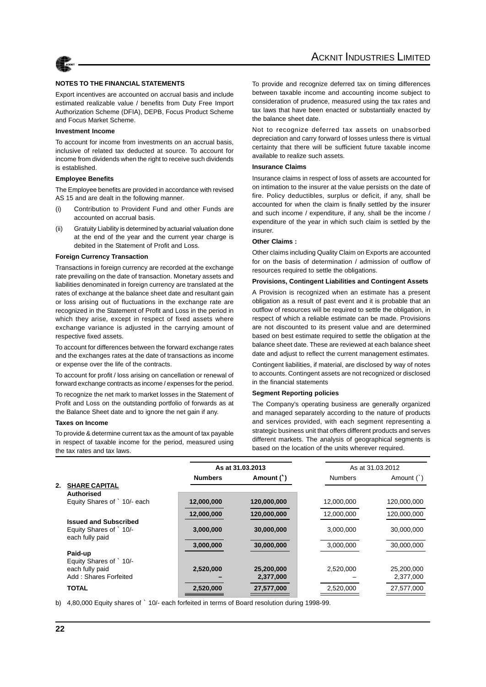

Export incentives are accounted on accrual basis and include estimated realizable value / benefits from Duty Free Import Authorization Scheme (DFIA), DEPB, Focus Product Scheme and Focus Market Scheme.

#### **Investment Income**

To account for income from investments on an accrual basis, inclusive of related tax deducted at source. To account for income from dividends when the right to receive such dividends is established.

#### **Employee Benefits**

The Employee benefits are provided in accordance with revised AS 15 and are dealt in the following manner.

- (i) Contribution to Provident Fund and other Funds are accounted on accrual basis.
- (ii) Gratuity Liability is determined by actuarial valuation done at the end of the year and the current year charge is debited in the Statement of Profit and Loss.

#### **Foreign Currency Transaction**

Transactions in foreign currency are recorded at the exchange rate prevailing on the date of transaction. Monetary assets and liabilities denominated in foreign currency are translated at the rates of exchange at the balance sheet date and resultant gain or loss arising out of fluctuations in the exchange rate are recognized in the Statement of Profit and Loss in the period in which they arise, except in respect of fixed assets where exchange variance is adjusted in the carrying amount of respective fixed assets.

To account for differences between the forward exchange rates and the exchanges rates at the date of transactions as income or expense over the life of the contracts.

To account for profit / loss arising on cancellation or renewal of forward exchange contracts as income / expenses for the period.

To recognize the net mark to market losses in the Statement of Profit and Loss on the outstanding portfolio of forwards as at the Balance Sheet date and to ignore the net gain if any.

#### **Taxes on Income**

To provide & determine current tax as the amount of tax payable in respect of taxable income for the period, measured using the tax rates and tax laws.

To provide and recognize deferred tax on timing differences between taxable income and accounting income subject to consideration of prudence, measured using the tax rates and tax laws that have been enacted or substantially enacted by the balance sheet date.

Not to recognize deferred tax assets on unabsorbed depreciation and carry forward of losses unless there is virtual certainty that there will be sufficient future taxable income available to realize such assets.

#### **Insurance Claims**

Insurance claims in respect of loss of assets are accounted for on intimation to the insurer at the value persists on the date of fire. Policy deductibles, surplus or deficit, if any, shall be accounted for when the claim is finally settled by the insurer and such income / expenditure, if any, shall be the income / expenditure of the year in which such claim is settled by the insurer.

#### **Other Claims :**

Other claims including Quality Claim on Exports are accounted for on the basis of determination / admission of outflow of resources required to settle the obligations.

#### **Provisions, Contingent Liabilities and Contingent Assets**

A Provision is recognized when an estimate has a present obligation as a result of past event and it is probable that an outflow of resources will be required to settle the obligation, in respect of which a reliable estimate can be made. Provisions are not discounted to its present value and are determined based on best estimate required to settle the obligation at the balance sheet date. These are reviewed at each balance sheet date and adjust to reflect the current management estimates.

Contingent liabilities, if material, are disclosed by way of notes to accounts. Contingent assets are not recognized or disclosed in the financial statements

#### **Segment Reporting policies**

The Company's operating business are generally organized and managed separately according to the nature of products and services provided, with each segment representing a strategic business unit that offers different products and serves different markets. The analysis of geographical segments is based on the location of the units wherever required.

|    |                                            | As at 31.03.2013 |             |                | As at 31.03.2012 |
|----|--------------------------------------------|------------------|-------------|----------------|------------------|
|    |                                            | <b>Numbers</b>   | Amount (`)  | <b>Numbers</b> | Amount $($ $)$   |
| 2. | <b>SHARE CAPITAL</b>                       |                  |             |                |                  |
|    | Authorised<br>Equity Shares of ` 10/- each | 12,000,000       | 120,000,000 | 12,000,000     | 120,000,000      |
|    |                                            |                  |             |                |                  |
|    |                                            | 12,000,000       | 120,000,000 | 12,000,000     | 120.000.000      |
|    | <b>Issued and Subscribed</b>               |                  |             |                |                  |
|    | Equity Shares of ` 10/-                    | 3,000,000        | 30,000,000  | 3,000,000      | 30,000,000       |
|    | each fully paid                            |                  |             |                |                  |
|    |                                            | 3,000,000        | 30,000,000  | 3,000,000      | 30,000,000       |
|    | Paid-up                                    |                  |             |                |                  |
|    | Equity Shares of ` 10/-                    |                  |             |                |                  |
|    | each fully paid                            | 2,520,000        | 25,200,000  | 2.520.000      | 25,200,000       |
|    | Add: Shares Forfeited                      |                  | 2,377,000   |                | 2,377,000        |
|    | <b>TOTAL</b>                               | 2,520,000        | 27,577,000  | 2,520,000      | 27,577,000       |
|    |                                            |                  |             |                |                  |

b) 4,80,000 Equity shares of  $\hat{ }$  10/- each forfeited in terms of Board resolution during 1998-99.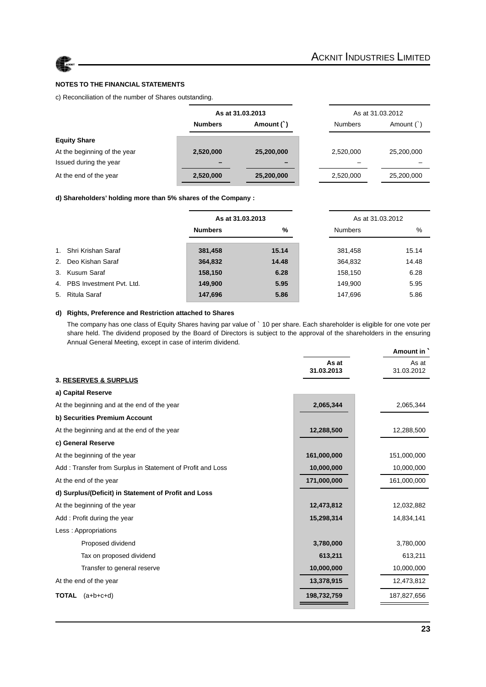c) Reconciliation of the number of Shares outstanding.

|                              |                | As at 31.03.2013 |                | As at 31.03.2012 |
|------------------------------|----------------|------------------|----------------|------------------|
|                              | <b>Numbers</b> | Amount (`)       | <b>Numbers</b> | Amount $( )$     |
| <b>Equity Share</b>          |                |                  |                |                  |
| At the beginning of the year | 2,520,000      | 25,200,000       | 2,520,000      | 25,200,000       |
| Issued during the year       |                |                  |                |                  |
| At the end of the year       | 2,520,000      | 25,200,000       | 2,520,000      | 25,200,000       |

#### **d) Shareholders' holding more than 5% shares of the Company :**

|                             | As at 31.03.2013 |       |                | As at 31.03.2012 |
|-----------------------------|------------------|-------|----------------|------------------|
|                             | <b>Numbers</b>   | %     | <b>Numbers</b> | %                |
|                             |                  |       |                |                  |
| 1. Shri Krishan Saraf       | 381,458          | 15.14 | 381,458        | 15.14            |
| 2. Deo Kishan Saraf         | 364,832          | 14.48 | 364,832        | 14.48            |
| 3. Kusum Saraf              | 158,150          | 6.28  | 158.150        | 6.28             |
| 4. PBS Investment Pvt. Ltd. | 149,900          | 5.95  | 149.900        | 5.95             |
| 5. Ritula Saraf             | 147,696          | 5.86  | 147.696        | 5.86             |

#### **d) Rights, Preference and Restriction attached to Shares**

The company has one class of Equity Shares having par value of ` 10 per share. Each shareholder is eligible for one vote per share held. The dividend proposed by the Board of Directors is subject to the approval of the shareholders in the ensuring Annual General Meeting, except in case of interim dividend. **Amount in** `

|                                                            |                     | Amount in           |
|------------------------------------------------------------|---------------------|---------------------|
|                                                            | As at<br>31.03.2013 | As at<br>31.03.2012 |
| <b>3. RESERVES &amp; SURPLUS</b>                           |                     |                     |
| a) Capital Reserve                                         |                     |                     |
| At the beginning and at the end of the year                | 2,065,344           | 2,065,344           |
| b) Securities Premium Account                              |                     |                     |
| At the beginning and at the end of the year                | 12,288,500          | 12,288,500          |
| c) General Reserve                                         |                     |                     |
| At the beginning of the year                               | 161,000,000         | 151,000,000         |
| Add: Transfer from Surplus in Statement of Profit and Loss | 10,000,000          | 10,000,000          |
| At the end of the year                                     | 171,000,000         | 161,000,000         |
| d) Surplus/(Deficit) in Statement of Profit and Loss       |                     |                     |
| At the beginning of the year                               | 12,473,812          | 12,032,882          |
| Add: Profit during the year                                | 15,298,314          | 14,834,141          |
| Less: Appropriations                                       |                     |                     |
| Proposed dividend                                          | 3,780,000           | 3,780,000           |
| Tax on proposed dividend                                   | 613,211             | 613,211             |
| Transfer to general reserve                                | 10,000,000          | 10,000,000          |
| At the end of the year                                     | 13,378,915          | 12,473,812          |
| <b>TOTAL</b><br>$(a+b+c+d)$                                | 198,732,759         | 187,827,656         |
|                                                            |                     |                     |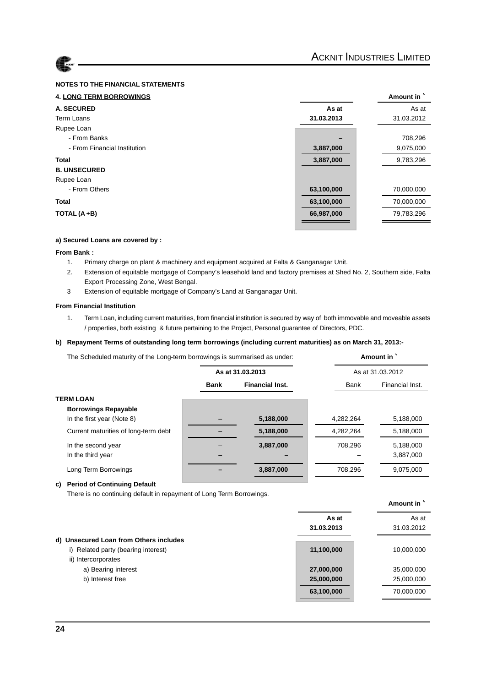| <b>4. LONG TERM BORROWINGS</b> |            | Amount in  |
|--------------------------------|------------|------------|
| A. SECURED                     | As at      | As at      |
| <b>Term Loans</b>              | 31.03.2013 | 31.03.2012 |
| Rupee Loan                     |            |            |
| - From Banks                   |            | 708,296    |
| - From Financial Institution   | 3,887,000  | 9,075,000  |
| <b>Total</b>                   | 3,887,000  | 9,783,296  |
| <b>B. UNSECURED</b>            |            |            |
| Rupee Loan                     |            |            |
| - From Others                  | 63,100,000 | 70,000,000 |
| <b>Total</b>                   | 63,100,000 | 70,000,000 |
| TOTAL (A+B)                    | 66,987,000 | 79,783,296 |
|                                |            |            |

#### **a) Secured Loans are covered by :**

#### **From Bank :**

- 1. Primary charge on plant & machinery and equipment acquired at Falta & Ganganagar Unit.
- 2. Extension of equitable mortgage of Company's leasehold land and factory premises at Shed No. 2, Southern side, Falta Export Processing Zone, West Bengal.
- 3 Extension of equitable mortgage of Company's Land at Ganganagar Unit.

#### **From Financial Institution**

1. Term Loan, including current maturities, from financial institution is secured by way of both immovable and moveable assets / properties, both existing & future pertaining to the Project, Personal guarantee of Directors, PDC.

### **b) Repayment Terms of outstanding long term borrowings (including current maturities) as on March 31, 2013:-**

The Scheduled maturity of the Long-term borrowings is summarised as under: **Amount in** `

|                                      | As at 31.03.2013 |                        |             | As at 31.03.2012 |
|--------------------------------------|------------------|------------------------|-------------|------------------|
|                                      | Bank             | <b>Financial Inst.</b> | <b>Bank</b> | Financial Inst.  |
| <b>TERM LOAN</b>                     |                  |                        |             |                  |
| <b>Borrowings Repayable</b>          |                  |                        |             |                  |
| In the first year (Note 8)           |                  | 5,188,000              | 4,282,264   | 5,188,000        |
| Current maturities of long-term debt |                  | 5,188,000              | 4,282,264   | 5,188,000        |
| In the second year                   |                  | 3,887,000              | 708.296     | 5,188,000        |
| In the third year                    |                  |                        |             | 3,887,000        |
| Long Term Borrowings                 |                  | 3,887,000              | 708,296     | 9,075,000        |
|                                      |                  |                        |             |                  |

### **c) Period of Continuing Default**

There is no continuing default in repayment of Long Term Borrowings.

|                                        |            | Amount in  |
|----------------------------------------|------------|------------|
|                                        | As at      | As at      |
|                                        | 31.03.2013 | 31.03.2012 |
| d) Unsecured Loan from Others includes |            |            |
| i) Related party (bearing interest)    | 11,100,000 | 10,000,000 |
| ii) Intercorporates                    |            |            |
| a) Bearing interest                    | 27,000,000 | 35,000,000 |
| b) Interest free                       | 25,000,000 | 25,000,000 |
|                                        | 63,100,000 | 70,000,000 |
|                                        |            |            |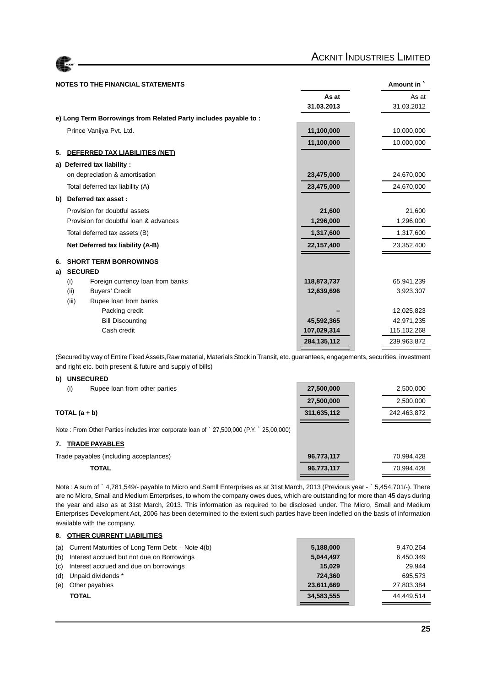| <b>ACKNIT</b> |  |
|---------------|--|

| <b>NOTES TO THE FINANCIAL STATEMENTS</b>                        |               | Amount in ` |
|-----------------------------------------------------------------|---------------|-------------|
|                                                                 | As at         | As at       |
|                                                                 | 31.03.2013    | 31.03.2012  |
| e) Long Term Borrowings from Related Party includes payable to: |               |             |
| Prince Vanijya Pvt. Ltd.                                        | 11,100,000    | 10,000,000  |
|                                                                 | 11,100,000    | 10,000,000  |
| DEFERRED TAX LIABILITIES (NET)<br>5.                            |               |             |
| a) Deferred tax liability :                                     |               |             |
| on depreciation & amortisation                                  | 23,475,000    | 24,670,000  |
| Total deferred tax liability (A)                                | 23,475,000    | 24,670,000  |
| Deferred tax asset:<br>b)                                       |               |             |
| Provision for doubtful assets                                   | 21,600        | 21,600      |
| Provision for doubtful loan & advances                          | 1,296,000     | 1,296,000   |
| Total deferred tax assets (B)                                   | 1,317,600     | 1,317,600   |
| Net Deferred tax liability (A-B)                                | 22,157,400    | 23,352,400  |
| <b>SHORT TERM BORROWINGS</b><br>6.                              |               |             |
| <b>SECURED</b><br>a)                                            |               |             |
| (i)<br>Foreign currency loan from banks                         | 118,873,737   | 65,941,239  |
| (ii)<br><b>Buyers' Credit</b>                                   | 12,639,696    | 3,923,307   |
| (iii)<br>Rupee loan from banks                                  |               |             |
| Packing credit                                                  |               | 12,025,823  |
| <b>Bill Discounting</b>                                         | 45,592,365    | 42,971,235  |
| Cash credit                                                     | 107,029,314   | 115,102,268 |
|                                                                 | 284, 135, 112 | 239,963,872 |

(Secured by way of Entire Fixed Assets,Raw material, Materials Stock in Transit, etc. guarantees, engagements, securities, investment and right etc. both present & future and supply of bills)

### **b) UNSECURED**

**8. OTHER CURRENT LIABILITIES**

| (i)<br>Rupee loan from other parties                                                    | 27,500,000  | 2,500,000   |
|-----------------------------------------------------------------------------------------|-------------|-------------|
|                                                                                         | 27,500,000  | 2,500,000   |
| TOTAL $(a + b)$                                                                         | 311,635,112 | 242,463,872 |
|                                                                                         |             |             |
| Note: From Other Parties includes inter corporate loan of `27,500,000 (P.Y. `25,00,000) |             |             |
| <b>TRADE PAYABLES</b><br>7.                                                             |             |             |
| Trade payables (including acceptances)                                                  | 96,773,117  | 70,994,428  |
| <b>TOTAL</b>                                                                            | 96,773,117  | 70,994,428  |
|                                                                                         |             |             |

Note : A sum of ` 4,781,549/- payable to Micro and Samll Enterprises as at 31st March, 2013 (Previous year - ` 5,454,701/-). There are no Micro, Small and Medium Enterprises, to whom the company owes dues, which are outstanding for more than 45 days during the year and also as at 31st March, 2013. This information as required to be disclosed under. The Micro, Small and Medium Enterprises Development Act, 2006 has been determined to the extent such parties have been indefied on the basis of information available with the company.

| (a) | Current Maturities of Long Term Debt - Note 4(b) | 5,188,000  | 9,470,264  |
|-----|--------------------------------------------------|------------|------------|
| (b) | Interest accrued but not due on Borrowings       | 5,044,497  | 6,450,349  |
| (c) | Interest accrued and due on borrowings           | 15.029     | 29.944     |
| (d) | Unpaid dividends *                               | 724.360    | 695.573    |
| (e) | Other payables                                   | 23,611,669 | 27.803.384 |
|     | <b>TOTAL</b>                                     | 34,583,555 | 44.449.514 |
|     |                                                  |            |            |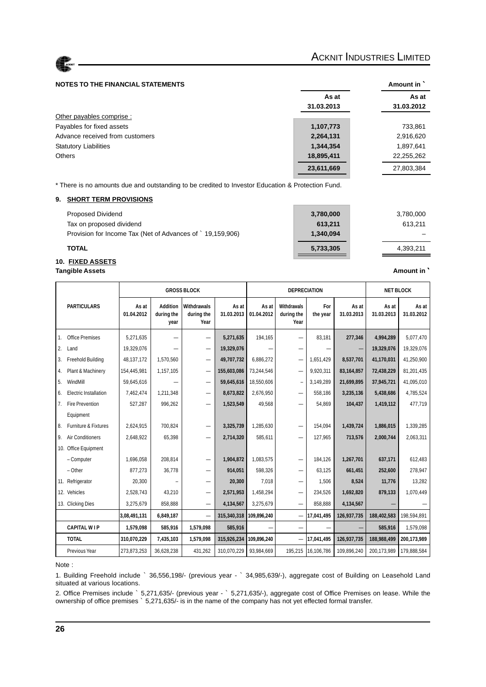#### **NOTES TO THE FINANCIAL STATEMENTS AMOUNT STATEMENTS** Amount in `

|                                 | As at      | As at      |
|---------------------------------|------------|------------|
|                                 | 31.03.2013 | 31.03.2012 |
| Other payables comprise :       |            |            |
| Payables for fixed assets       | 1,107,773  | 733,861    |
| Advance received from customers | 2,264,131  | 2,916,620  |
| <b>Statutory Liabilities</b>    | 1,344,354  | 1,897,641  |
| Others                          | 18,895,411 | 22,255,262 |
|                                 | 23,611,669 | 27,803,384 |
|                                 |            |            |

\* There is no amounts due and outstanding to be credited to Investor Education & Protection Fund.

#### **9. SHORT TERM PROVISIONS**

| Proposed Dividend<br>Tax on proposed dividend             | 3,780,000<br>613.211 | 3,780,000<br>613.211 |
|-----------------------------------------------------------|----------------------|----------------------|
| Provision for Income Tax (Net of Advances of `19,159,906) | 1,340,094            |                      |
| <b>TOTAL</b>                                              | 5,733,305            | 4,393,211            |

## **10. FIXED ASSETS**

#### **Tangible Assets Amount in Amount in Amount in** *Amount in*

|    |                              |                     | <b>GROSS BLOCK</b><br><b>NET BLOCK</b><br><b>DEPRECIATION</b> |                                   |                     |                     |                                   |                 |                     |                     |                     |
|----|------------------------------|---------------------|---------------------------------------------------------------|-----------------------------------|---------------------|---------------------|-----------------------------------|-----------------|---------------------|---------------------|---------------------|
|    | <b>PARTICULARS</b>           | As at<br>01.04.2012 | <b>Addition</b><br>during the<br>year                         | Withdrawals<br>during the<br>Year | As at<br>31.03.2013 | As at<br>01.04.2012 | Withdrawals<br>during the<br>Year | For<br>the year | As at<br>31.03.2013 | As at<br>31.03.2013 | As at<br>31.03.2012 |
| 1. | <b>Office Premises</b>       | 5,271,635           |                                                               | —                                 | 5,271,635           | 194,165             |                                   | 83,181          | 277,346             | 4,994,289           | 5,077,470           |
| 2. | Land                         | 19,329,076          |                                                               | —                                 | 19,329,076          |                     |                                   |                 |                     | 19,329,076          | 19,329,076          |
| 3. | Freehold Building            | 48, 137, 172        | 1,570,560                                                     | —                                 | 49,707,732          | 6,886,272           |                                   | 1,651,429       | 8,537,701           | 41,170,031          | 41,250,900          |
| 4. | Plant & Machinery            | 154,445,981         | 1,157,105                                                     | $\qquad \qquad$                   | 155,603,086         | 73,244,546          |                                   | 9,920,311       | 83,164,857          | 72,438,229          | 81,201,435          |
| 5. | WindMill                     | 59,645,616          |                                                               | —                                 | 59,645,616          | 18,550,606          |                                   | 3,149,289       | 21,699,895          | 37,945,721          | 41,095,010          |
| 6. | <b>Electric Installation</b> | 7,462,474           | 1,211,348                                                     | —                                 | 8,673,822           | 2,676,950           |                                   | 558,186         | 3,235,136           | 5,438,686           | 4,785,524           |
| 7. | <b>Fire Prevention</b>       | 527,287             | 996,262                                                       | —                                 | 1,523,549           | 49,568              |                                   | 54,869          | 104,437             | 1,419,112           | 477,719             |
|    | Equipment                    |                     |                                                               |                                   |                     |                     |                                   |                 |                     |                     |                     |
| 8. | Furniture & Fixtures         | 2,624,915           | 700,824                                                       | —                                 | 3,325,739           | 1,285,630           |                                   | 154,094         | 1,439,724           | 1,886,015           | 1,339,285           |
| 9. | Air Conditioners             | 2,648,922           | 65,398                                                        |                                   | 2,714,320           | 585,611             |                                   | 127,965         | 713,576             | 2,000,744           | 2,063,311           |
|    | 10. Office Equipment         |                     |                                                               |                                   |                     |                     |                                   |                 |                     |                     |                     |
|    | - Computer                   | 1,696,058           | 208,814                                                       | -                                 | 1,904,872           | 1,083,575           |                                   | 184,126         | 1,267,701           | 637,171             | 612,483             |
|    | $-$ Other                    | 877,273             | 36,778                                                        |                                   | 914.051             | 598,326             |                                   | 63,125          | 661,451             | 252,600             | 278,947             |
|    | 11. Refrigerator             | 20,300              |                                                               |                                   | 20,300              | 7,018               |                                   | 1,506           | 8,524               | 11,776              | 13,282              |
|    | 12. Vehicles                 | 2,528,743           | 43,210                                                        | —                                 | 2,571,953           | 1,458,294           |                                   | 234,526         | 1,692,820           | 879,133             | 1,070,449           |
|    | 13. Clicking Dies            | 3,275,679           | 858,888                                                       |                                   | 4,134,567           | 3,275,679           |                                   | 858,888         | 4,134,567           |                     |                     |
|    |                              | 3,08,491,131        | 6,849,187                                                     | $\overline{\phantom{0}}$          | 315,340,318         | 109,896,240         |                                   | 17,041,495      | 126,937,735         | 188,402,583         | 198,594,891         |
|    | <b>CAPITAL WIP</b>           | 1,579,098           | 585,916                                                       | 1,579,098                         | 585,916             |                     |                                   |                 |                     | 585,916             | 1,579,098           |
|    | <b>TOTAL</b>                 | 310,070,229         | 7,435,103                                                     | 1,579,098                         | 315,926,234         | 109,896,240         |                                   | 17,041,495      | 126,937,735         | 188,988,499         | 200,173,989         |
|    | Previous Year                | 273,873,253         | 36,628,238                                                    | 431,262                           | 310,070,229         | 93,984,669          | 195,215                           | 16,106,786      | 109,896,240         | 200,173,989         | 179,888,584         |

#### Note :

1. Building Freehold include ` 36,556,198/- (previous year - ` 34,985,639/-), aggregate cost of Building on Leasehold Land situated at various locations.

2. Office Premises include ` 5,271,635/- (previous year - ` 5,271,635/-), aggregate cost of Office Premises on lease. While the ownership of office premises ` 5,271,635/- is in the name of the company has not yet effected formal transfer.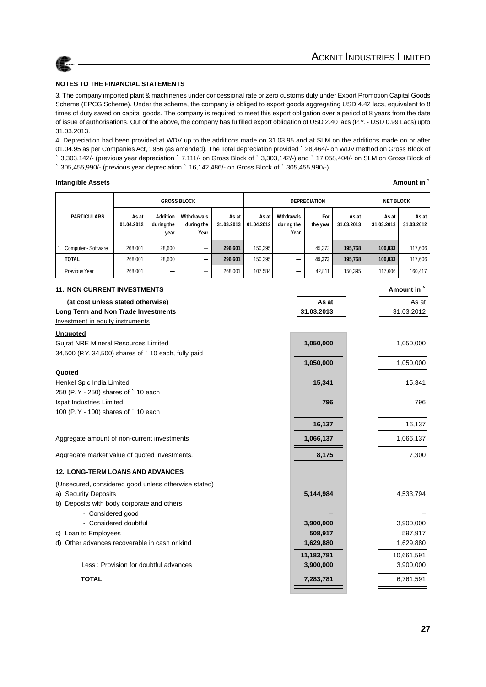

3. The company imported plant & machineries under concessional rate or zero customs duty under Export Promotion Capital Goods Scheme (EPCG Scheme). Under the scheme, the company is obliged to export goods aggregating USD 4.42 lacs, equivalent to 8 times of duty saved on capital goods. The company is required to meet this export obligation over a period of 8 years from the date of issue of authorisations. Out of the above, the company has fulfilled export obligation of USD 2.40 lacs (P.Y. - USD 0.99 Lacs) upto 31.03.2013.

4. Depreciation had been provided at WDV up to the additions made on 31.03.95 and at SLM on the additions made on or after 01.04.95 as per Companies Act, 1956 (as amended). The Total depreciation provided ` 28,464/- on WDV method on Gross Block of ` 3,303,142/- (previous year depreciation ` 7,111/- on Gross Block of ` 3,303,142/-) and ` 17,058,404/- on SLM on Gross Block of

` 305,455,990/- (previous year depreciation ` 16,142,486/- on Gross Block of ` 305,455,990/-)

#### **Intangible Assets Amount in** `

|                        | <b>GROSS BLOCK</b>  |                                |                                   | <b>DEPRECIATION</b> |                     |                                   |                 | <b>NET BLOCK</b>    |                     |                     |
|------------------------|---------------------|--------------------------------|-----------------------------------|---------------------|---------------------|-----------------------------------|-----------------|---------------------|---------------------|---------------------|
| <b>PARTICULARS</b>     | As at<br>01.04.2012 | Addition<br>during the<br>year | Withdrawals<br>during the<br>Year | As at<br>31.03.2013 | As at<br>01.04.2012 | Withdrawals<br>during the<br>Year | For<br>the year | As at<br>31.03.2013 | As at<br>31.03.2013 | As at<br>31.03.2012 |
| 1. Computer - Software | 268.001             | 28.600                         | _                                 | 296,601             | 150,395             |                                   | 45.373          | 195.768             | 100.833             | 117.606             |
| <b>TOTAL</b>           | 268.001             | 28.600                         |                                   | 296,601             | 150,395             |                                   | 45.373          | 195.768             | 100.833             | 117.606             |
| Previous Year          | 268,001             |                                |                                   | 268,001             | 107,584             |                                   | 42.811          | 150.395             | 117.606             | 160,417             |

| <b>11. NON CURRENT INVESTMENTS</b>                   |            | Amount in ` |
|------------------------------------------------------|------------|-------------|
| (at cost unless stated otherwise)                    | As at      | As at       |
| Long Term and Non Trade Investments                  | 31.03.2013 | 31.03.2012  |
| Investment in equity instruments                     |            |             |
| <b>Unquoted</b>                                      |            |             |
| <b>Gujrat NRE Mineral Resources Limited</b>          | 1,050,000  | 1,050,000   |
| 34,500 (P.Y. 34,500) shares of ` 10 each, fully paid |            |             |
|                                                      | 1,050,000  | 1,050,000   |
| Quoted                                               |            |             |
| Henkel Spic India Limited                            | 15,341     | 15,341      |
| 250 (P. Y - 250) shares of ` 10 each                 |            |             |
| Ispat Industries Limited                             | 796        | 796         |
| 100 (P. Y - 100) shares of ` 10 each                 |            |             |
|                                                      | 16,137     | 16,137      |
| Aggregate amount of non-current investments          | 1,066,137  | 1,066,137   |
| Aggregate market value of quoted investments.        | 8,175      | 7,300       |
| <b>12. LONG-TERM LOANS AND ADVANCES</b>              |            |             |
| (Unsecured, considered good unless otherwise stated) |            |             |
| a) Security Deposits                                 | 5,144,984  | 4,533,794   |
| b) Deposits with body corporate and others           |            |             |
| - Considered good                                    |            |             |
| - Considered doubtful                                | 3,900,000  | 3,900,000   |
| c) Loan to Employees                                 | 508,917    | 597,917     |
| d) Other advances recoverable in cash or kind        | 1,629,880  | 1,629,880   |
|                                                      | 11,183,781 | 10,661,591  |
| Less: Provision for doubtful advances                | 3,900,000  | 3,900,000   |
| <b>TOTAL</b>                                         | 7,283,781  | 6,761,591   |
|                                                      |            |             |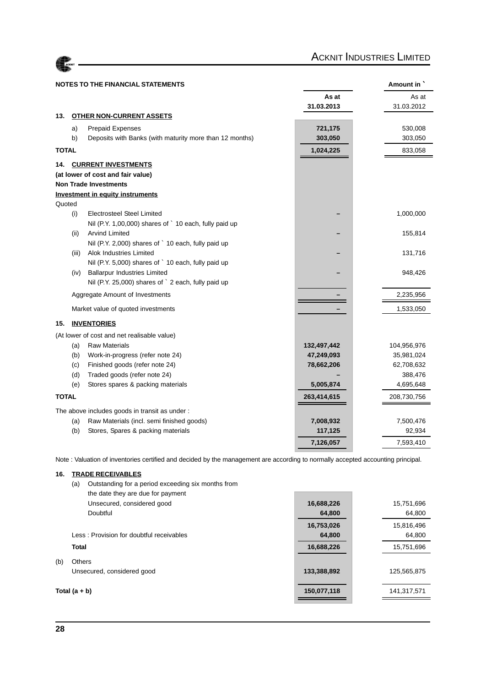

|              |       | <b>NOTES TO THE FINANCIAL STATEMENTS</b>                                       |             | Amount in   |
|--------------|-------|--------------------------------------------------------------------------------|-------------|-------------|
|              |       |                                                                                | As at       | As at       |
|              |       |                                                                                | 31.03.2013  | 31.03.2012  |
| 13.          |       | <b>OTHER NON-CURRENT ASSETS</b>                                                |             |             |
|              | a)    | <b>Prepaid Expenses</b>                                                        | 721,175     | 530,008     |
|              | b)    | Deposits with Banks (with maturity more than 12 months)                        | 303,050     | 303,050     |
| <b>TOTAL</b> |       |                                                                                | 1,024,225   | 833,058     |
| 14.          |       | <b>CURRENT INVESTMENTS</b>                                                     |             |             |
|              |       | (at lower of cost and fair value)                                              |             |             |
|              |       | <b>Non Trade Investments</b>                                                   |             |             |
|              |       | <b>Investment in equity instruments</b>                                        |             |             |
| Quoted       |       |                                                                                |             |             |
|              | (i)   | <b>Electrosteel Steel Limited</b>                                              |             | 1,000,000   |
|              |       | Nil (P.Y. 1,00,000) shares of ` 10 each, fully paid up                         |             |             |
|              | (ii)  | <b>Arvind Limited</b>                                                          |             | 155,814     |
|              |       | Nil (P.Y. 2,000) shares of ` 10 each, fully paid up                            |             |             |
|              | (iii) | Alok Industries Limited<br>Nil (P.Y. 5,000) shares of ` 10 each, fully paid up |             | 131,716     |
|              | (iv)  | <b>Ballarpur Industries Limited</b>                                            |             | 948,426     |
|              |       | Nil (P.Y. 25,000) shares of 2 each, fully paid up                              |             |             |
|              |       |                                                                                |             |             |
|              |       | Aggregate Amount of Investments                                                |             | 2,235,956   |
|              |       | Market value of quoted investments                                             |             | 1,533,050   |
| 15.          |       | <b>INVENTORIES</b>                                                             |             |             |
|              |       | (At lower of cost and net realisable value)                                    |             |             |
|              | (a)   | <b>Raw Materials</b>                                                           | 132,497,442 | 104,956,976 |
|              | (b)   | Work-in-progress (refer note 24)                                               | 47,249,093  | 35,981,024  |
|              | (c)   | Finished goods (refer note 24)                                                 | 78,662,206  | 62,708,632  |
|              | (d)   | Traded goods (refer note 24)                                                   |             | 388,476     |
|              | (e)   | Stores spares & packing materials                                              | 5,005,874   | 4,695,648   |
| <b>TOTAL</b> |       |                                                                                | 263,414,615 | 208,730,756 |
|              |       | The above includes goods in transit as under:                                  |             |             |
|              | (a)   | Raw Materials (incl. semi finished goods)                                      | 7,008,932   | 7,500,476   |
|              | (b)   | Stores, Spares & packing materials                                             | 117,125     | 92,934      |
|              |       |                                                                                | 7,126,057   | 7,593,410   |
|              |       |                                                                                |             |             |

Note : Valuation of inventories certified and decided by the management are according to normally accepted accounting principal.

## (a) Outstanding for a period exceeding six months from the date they are due for payment Unsecured, considered good **16,688,226** 15,751,696 Doubtful **64,800** 64,800 **16,753,026** 15,816,496 Less : Provision for doubtful receivables **64,800** 64,800 64,800 64,800 64,800 64,800 64,800 **64,800 Total 16,688,226** 15,751,696 (b) Others Unsecured, considered good **133,388,892** 125,565,875 **Total (a + b) 150,077,118** 141,317,571

**16. TRADE RECEIVABLES**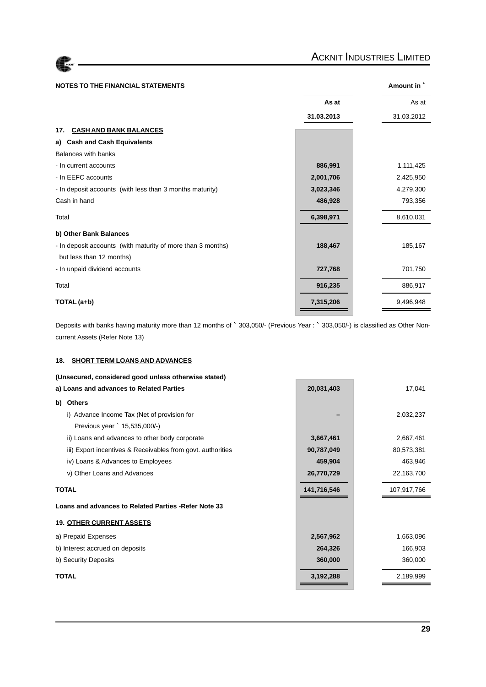| <b>NOTES TO THE FINANCIAL STATEMENTS</b>                    |            | Amount in  |
|-------------------------------------------------------------|------------|------------|
|                                                             | As at      | As at      |
|                                                             | 31.03.2013 | 31.03.2012 |
| <b>CASH AND BANK BALANCES</b><br>17.                        |            |            |
| <b>Cash and Cash Equivalents</b><br>a)                      |            |            |
| <b>Balances with banks</b>                                  |            |            |
| - In current accounts                                       | 886,991    | 1,111,425  |
| - In EEFC accounts                                          | 2,001,706  | 2,425,950  |
| - In deposit accounts (with less than 3 months maturity)    | 3,023,346  | 4,279,300  |
| Cash in hand                                                | 486,928    | 793,356    |
| Total                                                       | 6,398,971  | 8,610,031  |
| b) Other Bank Balances                                      |            |            |
| - In deposit accounts (with maturity of more than 3 months) | 188,467    | 185,167    |
| but less than 12 months)                                    |            |            |
| - In unpaid dividend accounts                               | 727,768    | 701,750    |
| Total                                                       | 916,235    | 886,917    |
| TOTAL (a+b)                                                 | 7,315,206  | 9,496,948  |
|                                                             |            |            |

Deposits with banks having maturity more than 12 months of ` 303,050/- (Previous Year : ` 303,050/-) is classified as Other Noncurrent Assets (Refer Note 13)

### **18. SHORT TERM LOANS AND ADVANCES**

**CALLER** 

|              | (Unsecured, considered good unless otherwise stated)        |             |             |
|--------------|-------------------------------------------------------------|-------------|-------------|
|              | a) Loans and advances to Related Parties                    | 20,031,403  | 17,041      |
| b)           | <b>Others</b>                                               |             |             |
|              | i) Advance Income Tax (Net of provision for                 |             | 2,032,237   |
|              | Previous year ` 15,535,000/-)                               |             |             |
|              | ii) Loans and advances to other body corporate              | 3,667,461   | 2,667,461   |
|              | iii) Export incentives & Receivables from govt. authorities | 90,787,049  | 80,573,381  |
|              | iv) Loans & Advances to Employees                           | 459,904     | 463,946     |
|              | v) Other Loans and Advances                                 | 26,770,729  | 22,163,700  |
| <b>TOTAL</b> |                                                             | 141,716,546 | 107,917,766 |
|              | Loans and advances to Related Parties - Refer Note 33       |             |             |
|              | <b>19. OTHER CURRENT ASSETS</b>                             |             |             |
|              | a) Prepaid Expenses                                         | 2,567,962   | 1,663,096   |
|              | b) Interest accrued on deposits                             | 264,326     | 166,903     |
|              | b) Security Deposits                                        | 360,000     | 360,000     |
| <b>TOTAL</b> |                                                             | 3,192,288   | 2,189,999   |
|              |                                                             |             |             |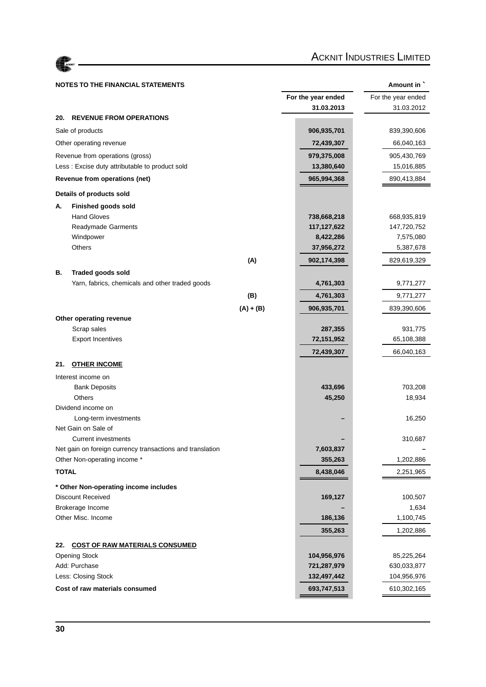

|              | <b>NOTES TO THE FINANCIAL STATEMENTS</b>                  |             |                    | Amount in `        |
|--------------|-----------------------------------------------------------|-------------|--------------------|--------------------|
|              |                                                           |             | For the year ended | For the year ended |
|              |                                                           |             | 31.03.2013         | 31.03.2012         |
| 20.          | <b>REVENUE FROM OPERATIONS</b>                            |             |                    |                    |
|              | Sale of products                                          |             | 906,935,701        | 839,390,606        |
|              | Other operating revenue                                   |             | 72,439,307         | 66,040,163         |
|              | Revenue from operations (gross)                           |             | 979,375,008        | 905,430,769        |
|              | Less : Excise duty attributable to product sold           |             | 13,380,640         | 15,016,885         |
|              | Revenue from operations (net)                             |             | 965,994,368        | 890,413,884        |
|              | Details of products sold                                  |             |                    |                    |
| А.           | <b>Finished goods sold</b>                                |             |                    |                    |
|              | <b>Hand Gloves</b>                                        |             | 738,668,218        | 668,935,819        |
|              | Readymade Garments                                        |             | 117, 127, 622      | 147,720,752        |
|              | Windpower                                                 |             | 8,422,286          | 7,575,080          |
|              | Others                                                    |             | 37,956,272         | 5,387,678          |
|              |                                                           | (A)         | 902,174,398        | 829,619,329        |
| В.           | Traded goods sold                                         |             |                    |                    |
|              | Yarn, fabrics, chemicals and other traded goods           |             | 4,761,303          | 9,771,277          |
|              |                                                           | (B)         | 4,761,303          | 9,771,277          |
|              |                                                           | $(A) + (B)$ | 906,935,701        | 839,390,606        |
|              | Other operating revenue                                   |             |                    |                    |
|              | Scrap sales                                               |             | 287,355            | 931,775            |
|              | <b>Export Incentives</b>                                  |             | 72,151,952         | 65,108,388         |
|              |                                                           |             | 72,439,307         | 66,040,163         |
| 21.          | <b>OTHER INCOME</b>                                       |             |                    |                    |
|              | Interest income on                                        |             |                    |                    |
|              | <b>Bank Deposits</b>                                      |             | 433,696            | 703,208            |
|              | <b>Others</b>                                             |             | 45,250             | 18,934             |
|              | Dividend income on                                        |             |                    |                    |
|              | Long-term investments                                     |             |                    | 16,250             |
|              | Net Gain on Sale of                                       |             |                    |                    |
|              | <b>Current investments</b>                                |             |                    | 310,687            |
|              | Net gain on foreign currency transactions and translation |             | 7,603,837          |                    |
|              | Other Non-operating income *                              |             | 355,263            | 1,202,886          |
| <b>TOTAL</b> |                                                           |             | 8,438,046          | 2,251,965          |
|              | * Other Non-operating income includes                     |             |                    |                    |
|              | <b>Discount Received</b>                                  |             | 169,127            | 100,507            |
|              | Brokerage Income                                          |             |                    | 1,634              |
|              | Other Misc. Income                                        |             | 186,136            | 1,100,745          |
|              |                                                           |             | 355,263            | 1,202,886          |
| 22.          | <b>COST OF RAW MATERIALS CONSUMED</b>                     |             |                    |                    |
|              | <b>Opening Stock</b>                                      |             | 104,956,976        | 85,225,264         |
|              | Add: Purchase                                             |             | 721,287,979        | 630,033,877        |
|              | Less: Closing Stock                                       |             | 132,497,442        | 104,956,976        |
|              | Cost of raw materials consumed                            |             | 693,747,513        | 610,302,165        |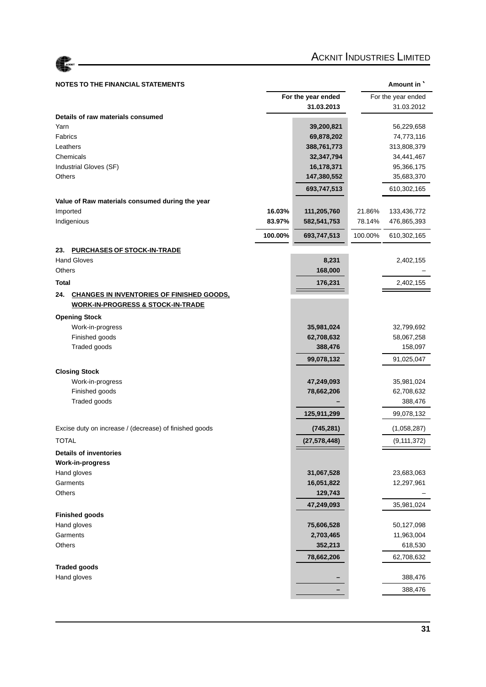

# ACKNIT INDUSTRIES LIMITED

| <b>NOTES TO THE FINANCIAL STATEMENTS</b>                |         |                    |                    | Amount in     |
|---------------------------------------------------------|---------|--------------------|--------------------|---------------|
|                                                         |         | For the year ended | For the year ended |               |
|                                                         |         | 31.03.2013         |                    | 31.03.2012    |
| Details of raw materials consumed                       |         |                    |                    |               |
| Yarn                                                    |         | 39,200,821         |                    | 56,229,658    |
| Fabrics                                                 |         | 69,878,202         |                    | 74,773,116    |
| Leathers                                                |         | 388,761,773        |                    | 313,808,379   |
| Chemicals                                               |         | 32,347,794         |                    | 34,441,467    |
| Industrial Gloves (SF)                                  |         | 16,178,371         |                    | 95,366,175    |
| Others                                                  |         | 147,380,552        |                    | 35,683,370    |
|                                                         |         | 693,747,513        |                    | 610,302,165   |
| Value of Raw materials consumed during the year         |         |                    |                    |               |
| Imported                                                | 16.03%  | 111,205,760        | 21.86%             | 133,436,772   |
| Indigenious                                             | 83.97%  | 582,541,753        | 78.14%             | 476,865,393   |
|                                                         | 100.00% | 693,747,513        | 100.00%            | 610,302,165   |
| PURCHASES OF STOCK-IN-TRADE<br>23.                      |         |                    |                    |               |
| <b>Hand Gloves</b>                                      |         | 8,231              |                    | 2,402,155     |
| <b>Others</b>                                           |         | 168,000            |                    |               |
| <b>Total</b>                                            |         | 176,231            |                    | 2,402,155     |
| <b>CHANGES IN INVENTORIES OF FINISHED GOODS,</b><br>24. |         |                    |                    |               |
| <b>WORK-IN-PROGRESS &amp; STOCK-IN-TRADE</b>            |         |                    |                    |               |
| <b>Opening Stock</b>                                    |         |                    |                    |               |
| Work-in-progress                                        |         | 35,981,024         |                    | 32,799,692    |
| Finished goods                                          |         | 62,708,632         |                    | 58,067,258    |
| Traded goods                                            |         | 388,476            |                    | 158,097       |
|                                                         |         | 99,078,132         |                    | 91,025,047    |
| <b>Closing Stock</b>                                    |         |                    |                    |               |
| Work-in-progress                                        |         | 47,249,093         |                    | 35,981,024    |
| Finished goods                                          |         | 78,662,206         |                    | 62,708,632    |
| Traded goods                                            |         |                    |                    | 388,476       |
|                                                         |         | 125,911,299        |                    | 99,078,132    |
| Excise duty on increase / (decrease) of finished goods  |         | (745, 281)         |                    | (1,058,287)   |
| <b>TOTAL</b>                                            |         | (27, 578, 448)     |                    | (9, 111, 372) |
| <b>Details of inventories</b>                           |         |                    |                    |               |
| <b>Work-in-progress</b>                                 |         |                    |                    |               |
| Hand gloves                                             |         | 31,067,528         |                    | 23,683,063    |
| Garments                                                |         | 16,051,822         |                    | 12,297,961    |
| <b>Others</b>                                           |         | 129,743            |                    |               |
|                                                         |         | 47,249,093         |                    | 35,981,024    |
| <b>Finished goods</b>                                   |         |                    |                    |               |
| Hand gloves                                             |         | 75,606,528         |                    | 50,127,098    |
| Garments                                                |         | 2,703,465          |                    | 11,963,004    |
| Others                                                  |         | 352,213            |                    | 618,530       |
|                                                         |         | 78,662,206         |                    | 62,708,632    |
| <b>Traded goods</b>                                     |         |                    |                    |               |
| Hand gloves                                             |         |                    |                    | 388,476       |
|                                                         |         |                    |                    | 388,476       |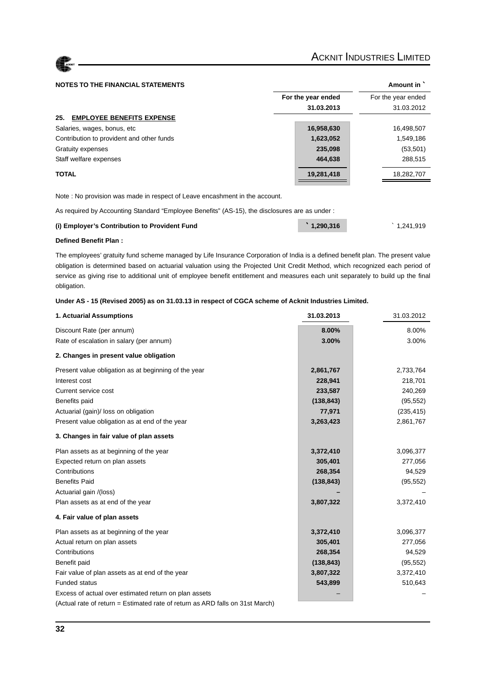

#### **NOTES TO THE FINANCIAL STATEMENTS AMOUNT IN A SET ALCOHOLY AMOUNT AMOUNT IN A SET AMOUNT IN A SET AMOUNT IN**

|                                           | For the year ended | For the year ended |
|-------------------------------------------|--------------------|--------------------|
|                                           | 31.03.2013         | 31.03.2012         |
| 25.<br><b>EMPLOYEE BENEFITS EXPENSE</b>   |                    |                    |
| Salaries, wages, bonus, etc.              | 16,958,630         | 16,498,507         |
| Contribution to provident and other funds | 1,623,052          | 1,549,186          |
| Gratuity expenses                         | 235,098            | (53, 501)          |
| Staff welfare expenses                    | 464,638            | 288,515            |
| <b>TOTAL</b>                              | 19,281,418         | 18,282,707         |
|                                           |                    |                    |

Note : No provision was made in respect of Leave encashment in the account.

As required by Accounting Standard "Employee Benefits" (AS-15), the disclosures are as under :

| (i) Employer's Contribution to Provident Fund | $\cdot$ 1.290.316 $\cdot$ | 1,241,919 |
|-----------------------------------------------|---------------------------|-----------|
|                                               |                           |           |

#### **Defined Benefit Plan :**

The employees' gratuity fund scheme managed by Life Insurance Corporation of India is a defined benefit plan. The present value obligation is determined based on actuarial valuation using the Projected Unit Credit Method, which recognized each period of service as giving rise to additional unit of employee benefit entitlement and measures each unit separately to build up the final obligation.

#### **Under AS - 15 (Revised 2005) as on 31.03.13 in respect of CGCA scheme of Acknit Industries Limited.**

| 1. Actuarial Assumptions                                                      | 31.03.2013 | 31.03.2012 |
|-------------------------------------------------------------------------------|------------|------------|
| Discount Rate (per annum)                                                     | 8.00%      | 8.00%      |
| Rate of escalation in salary (per annum)                                      | 3.00%      | 3.00%      |
| 2. Changes in present value obligation                                        |            |            |
| Present value obligation as at beginning of the year                          | 2,861,767  | 2,733,764  |
| Interest cost                                                                 | 228,941    | 218,701    |
| Current service cost                                                          | 233,587    | 240,269    |
| Benefits paid                                                                 | (138, 843) | (95, 552)  |
| Actuarial (gain)/ loss on obligation                                          | 77,971     | (235, 415) |
| Present value obligation as at end of the year                                | 3,263,423  | 2,861,767  |
| 3. Changes in fair value of plan assets                                       |            |            |
| Plan assets as at beginning of the year                                       | 3,372,410  | 3,096,377  |
| Expected return on plan assets                                                | 305,401    | 277,056    |
| Contributions                                                                 | 268,354    | 94,529     |
| <b>Benefits Paid</b>                                                          | (138, 843) | (95, 552)  |
| Actuarial gain /(loss)                                                        |            |            |
| Plan assets as at end of the year                                             | 3,807,322  | 3,372,410  |
| 4. Fair value of plan assets                                                  |            |            |
| Plan assets as at beginning of the year                                       | 3,372,410  | 3,096,377  |
| Actual return on plan assets                                                  | 305,401    | 277,056    |
| Contributions                                                                 | 268,354    | 94,529     |
| Benefit paid                                                                  | (138, 843) | (95, 552)  |
| Fair value of plan assets as at end of the year                               | 3,807,322  | 3,372,410  |
| <b>Funded status</b>                                                          | 543,899    | 510,643    |
| Excess of actual over estimated return on plan assets                         |            |            |
| (Actual rate of return = Estimated rate of return as ARD falls on 31st March) |            |            |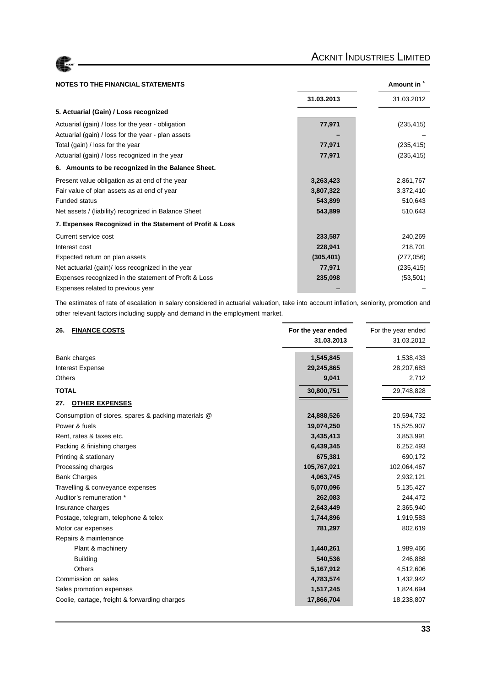ACKNIT

| <b>NOTES TO THE FINANCIAL STATEMENTS</b>                 |            | Amount in  |
|----------------------------------------------------------|------------|------------|
|                                                          | 31.03.2013 | 31.03.2012 |
| 5. Actuarial (Gain) / Loss recognized                    |            |            |
| Actuarial (gain) / loss for the year - obligation        | 77,971     | (235, 415) |
| Actuarial (gain) / loss for the year - plan assets       |            |            |
| Total (gain) / loss for the year                         | 77,971     | (235, 415) |
| Actuarial (gain) / loss recognized in the year           | 77,971     | (235, 415) |
| 6. Amounts to be recognized in the Balance Sheet.        |            |            |
| Present value obligation as at end of the year           | 3,263,423  | 2,861,767  |
| Fair value of plan assets as at end of year              | 3,807,322  | 3,372,410  |
| <b>Funded status</b>                                     | 543,899    | 510,643    |
| Net assets / (liability) recognized in Balance Sheet     | 543,899    | 510,643    |
| 7. Expenses Recognized in the Statement of Profit & Loss |            |            |
| Current service cost                                     | 233,587    | 240,269    |
| Interest cost                                            | 228,941    | 218,701    |
| Expected return on plan assets                           | (305, 401) | (277,056)  |
| Net actuarial (gain)/ loss recognized in the year        | 77,971     | (235, 415) |
| Expenses recognized in the statement of Profit & Loss    | 235,098    | (53, 501)  |
| Expenses related to previous year                        |            |            |

The estimates of rate of escalation in salary considered in actuarial valuation, take into account inflation, seniority, promotion and other relevant factors including supply and demand in the employment market.

| <b>FINANCE COSTS</b><br>26.                         | For the year ended<br>31.03.2013 | For the year ended<br>31.03.2012 |
|-----------------------------------------------------|----------------------------------|----------------------------------|
| Bank charges                                        | 1,545,845                        | 1,538,433                        |
| <b>Interest Expense</b>                             | 29,245,865                       | 28,207,683                       |
| <b>Others</b>                                       | 9,041                            | 2,712                            |
| <b>TOTAL</b>                                        | 30,800,751                       | 29,748,828                       |
| <b>OTHER EXPENSES</b><br>27.                        |                                  |                                  |
| Consumption of stores, spares & packing materials @ | 24,888,526                       | 20,594,732                       |
| Power & fuels                                       | 19,074,250                       | 15,525,907                       |
| Rent, rates & taxes etc.                            | 3,435,413                        | 3,853,991                        |
| Packing & finishing charges                         | 6,439,345                        | 6,252,493                        |
| Printing & stationary                               | 675,381                          | 690,172                          |
| Processing charges                                  | 105,767,021                      | 102,064,467                      |
| <b>Bank Charges</b>                                 | 4,063,745                        | 2,932,121                        |
| Travelling & conveyance expenses                    | 5,070,096                        | 5,135,427                        |
| Auditor's remuneration *                            | 262,083                          | 244,472                          |
| Insurance charges                                   | 2,643,449                        | 2,365,940                        |
| Postage, telegram, telephone & telex                | 1,744,896                        | 1,919,583                        |
| Motor car expenses                                  | 781,297                          | 802,619                          |
| Repairs & maintenance                               |                                  |                                  |
| Plant & machinery                                   | 1,440,261                        | 1,989,466                        |
| <b>Building</b>                                     | 540,536                          | 246,888                          |
| Others                                              | 5,167,912                        | 4,512,606                        |
| Commission on sales                                 | 4,783,574                        | 1,432,942                        |
| Sales promotion expenses                            | 1,517,245                        | 1,824,694                        |
| Coolie, cartage, freight & forwarding charges       | 17,866,704                       | 18,238,807                       |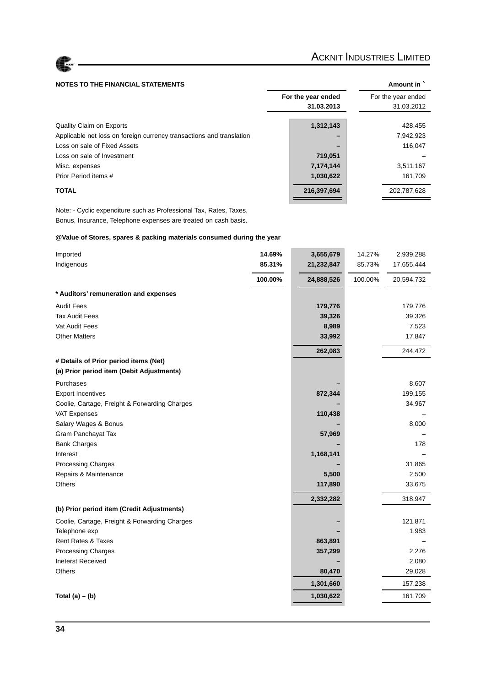

### **NOTES TO THE FINANCIAL STATEMENTS Amount in ` Amount in `**

|                                                                      | For the year ended | For the year ended |
|----------------------------------------------------------------------|--------------------|--------------------|
|                                                                      | 31.03.2013         | 31.03.2012         |
| Quality Claim on Exports                                             | 1,312,143          | 428,455            |
| Applicable net loss on foreign currency transactions and translation | -                  | 7,942,923          |
| Loss on sale of Fixed Assets                                         |                    | 116.047            |
| Loss on sale of Investment                                           | 719,051            |                    |
| Misc. expenses                                                       | 7,174,144          | 3,511,167          |
| Prior Period items #                                                 | 1,030,622          | 161.709            |
| <b>TOTAL</b>                                                         | 216,397,694        | 202,787,628        |
|                                                                      |                    |                    |

Note: - Cyclic expenditure such as Professional Tax, Rates, Taxes, Bonus, Insurance, Telephone expenses are treated on cash basis.

#### **@Value of Stores, spares & packing materials consumed during the year**

| Imported                                      | 14.69%  | 3,655,679  | 14.27%  | 2,939,288  |
|-----------------------------------------------|---------|------------|---------|------------|
| Indigenous                                    | 85.31%  | 21,232,847 | 85.73%  | 17,655,444 |
|                                               | 100.00% | 24,888,526 | 100.00% | 20,594,732 |
| * Auditors' remuneration and expenses         |         |            |         |            |
| <b>Audit Fees</b>                             |         | 179,776    |         | 179,776    |
| <b>Tax Audit Fees</b>                         |         | 39,326     |         | 39,326     |
| Vat Audit Fees                                |         | 8,989      |         | 7,523      |
| <b>Other Matters</b>                          |         | 33,992     |         | 17,847     |
|                                               |         | 262,083    |         | 244,472    |
| # Details of Prior period items (Net)         |         |            |         |            |
| (a) Prior period item (Debit Adjustments)     |         |            |         |            |
| Purchases                                     |         |            |         | 8,607      |
| <b>Export Incentives</b>                      |         | 872,344    |         | 199,155    |
| Coolie, Cartage, Freight & Forwarding Charges |         |            |         | 34,967     |
| VAT Expenses                                  |         | 110,438    |         |            |
| Salary Wages & Bonus                          |         |            |         | 8,000      |
| Gram Panchayat Tax                            |         | 57,969     |         |            |
| <b>Bank Charges</b>                           |         |            |         | 178        |
| Interest                                      |         | 1,168,141  |         |            |
| <b>Processing Charges</b>                     |         |            |         | 31,865     |
| Repairs & Maintenance                         |         | 5,500      |         | 2,500      |
| Others                                        |         | 117,890    |         | 33,675     |
|                                               |         | 2,332,282  |         | 318,947    |
| (b) Prior period item (Credit Adjustments)    |         |            |         |            |
| Coolie, Cartage, Freight & Forwarding Charges |         |            |         | 121,871    |
| Telephone exp                                 |         |            |         | 1,983      |
| Rent Rates & Taxes                            |         | 863,891    |         |            |
| <b>Processing Charges</b>                     |         | 357,299    |         | 2,276      |
| <b>Ineterst Received</b>                      |         |            |         | 2,080      |
| Others                                        |         | 80,470     |         | 29,028     |
|                                               |         | 1,301,660  |         | 157,238    |
| Total $(a) - (b)$                             |         | 1,030,622  |         | 161,709    |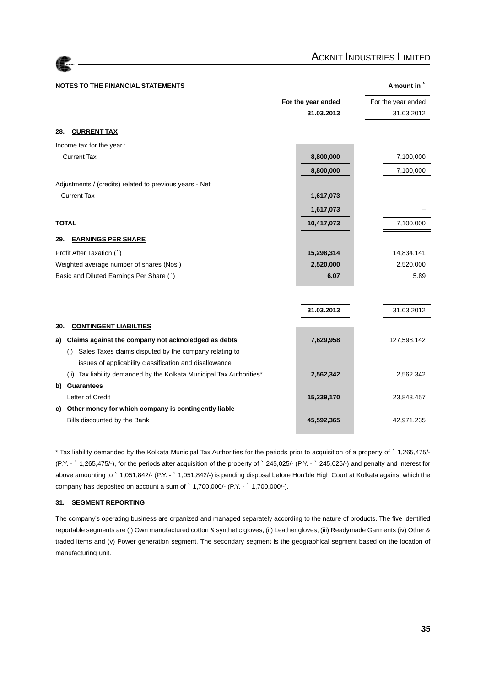

|     | <b>NOTES TO THE FINANCIAL STATEMENTS</b>                              |                    | Amount in `        |
|-----|-----------------------------------------------------------------------|--------------------|--------------------|
|     |                                                                       | For the year ended | For the year ended |
|     |                                                                       | 31.03.2013         | 31.03.2012         |
| 28. | <b>CURRENT TAX</b>                                                    |                    |                    |
|     | Income tax for the year :                                             |                    |                    |
|     | <b>Current Tax</b>                                                    | 8,800,000          | 7,100,000          |
|     |                                                                       | 8,800,000          | 7,100,000          |
|     | Adjustments / (credits) related to previous years - Net               |                    |                    |
|     | <b>Current Tax</b>                                                    | 1,617,073          |                    |
|     |                                                                       | 1,617,073          |                    |
|     | <b>TOTAL</b>                                                          | 10,417,073         | 7,100,000          |
| 29. | <b>EARNINGS PER SHARE</b>                                             |                    |                    |
|     | Profit After Taxation (`)                                             | 15,298,314         | 14,834,141         |
|     | Weighted average number of shares (Nos.)                              | 2,520,000          | 2,520,000          |
|     | Basic and Diluted Earnings Per Share (`)                              | 6.07               | 5.89               |
|     |                                                                       |                    |                    |
|     |                                                                       | 31.03.2013         | 31.03.2012         |
| 30. | <b>CONTINGENT LIABILTIES</b>                                          |                    |                    |
| a)  | Claims against the company not acknoledged as debts                   | 7,629,958          | 127,598,142        |
|     | Sales Taxes claims disputed by the company relating to<br>(i)         |                    |                    |
|     | issues of applicability classification and disallowance               |                    |                    |
|     | (ii) Tax liability demanded by the Kolkata Municipal Tax Authorities* | 2,562,342          | 2,562,342          |
| b)  | <b>Guarantees</b>                                                     |                    |                    |
|     | Letter of Credit                                                      | 15,239,170         | 23,843,457         |
| C)  | Other money for which company is contingently liable                  |                    |                    |
|     | Bills discounted by the Bank                                          | 45,592,365         | 42,971,235         |

\* Tax liability demanded by the Kolkata Municipal Tax Authorities for the periods prior to acquisition of a property of ` 1,265,475/- (P.Y. - ` 1,265,475/-), for the periods after acquisition of the property of ` 245,025/- (P.Y. - ` 245,025/-) and penalty and interest for above amounting to ` 1,051,842/- (P.Y. - ` 1,051,842/-) is pending disposal before Hon'ble High Court at Kolkata against which the company has deposited on account a sum of ` 1,700,000/- (P.Y. - ` 1,700,000/-).

#### **31. SEGMENT REPORTING**

The company's operating business are organized and managed separately according to the nature of products. The five identified reportable segments are (i) Own manufactured cotton & synthetic gloves, (ii) Leather gloves, (iii) Readymade Garments (iv) Other & traded items and (v) Power generation segment. The secondary segment is the geographical segment based on the location of manufacturing unit.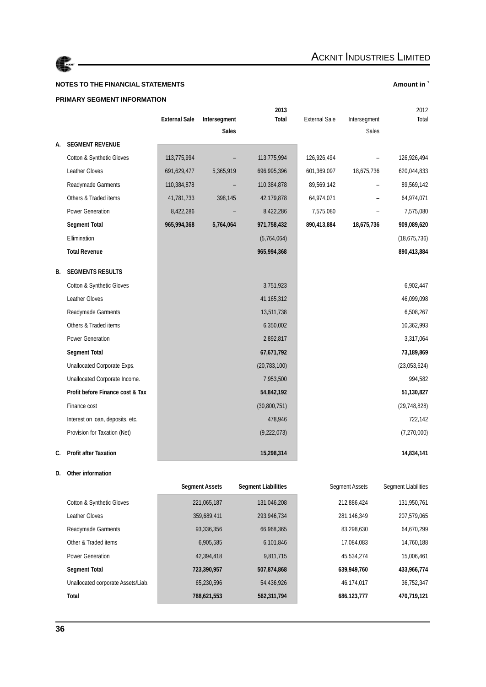

### **NOTES TO THE FINANCIAL STATEMENTS Amount in Amount in Amount in**

### **PRIMARY SEGMENT INFORMATION**

|    |                                  |                      |              | 2013           |                      |              | 2012           |
|----|----------------------------------|----------------------|--------------|----------------|----------------------|--------------|----------------|
|    |                                  | <b>External Sale</b> | Intersegment | <b>Total</b>   | <b>External Sale</b> | Intersegment | Total          |
|    |                                  |                      | <b>Sales</b> |                |                      | Sales        |                |
| А. | <b>SEGMENT REVENUE</b>           |                      |              |                |                      |              |                |
|    | Cotton & Synthetic Gloves        | 113,775,994          |              | 113,775,994    | 126,926,494          |              | 126,926,494    |
|    | <b>Leather Gloves</b>            | 691,629,477          | 5,365,919    | 696,995,396    | 601,369,097          | 18,675,736   | 620,044,833    |
|    | Readymade Garments               | 110,384,878          |              | 110,384,878    | 89,569,142           |              | 89,569,142     |
|    | Others & Traded items            | 41,781,733           | 398,145      | 42,179,878     | 64,974,071           |              | 64,974,071     |
|    | <b>Power Generation</b>          | 8,422,286            |              | 8,422,286      | 7,575,080            |              | 7,575,080      |
|    | <b>Segment Total</b>             | 965,994,368          | 5,764,064    | 971,758,432    | 890,413,884          | 18,675,736   | 909,089,620    |
|    | Ellimination                     |                      |              | (5,764,064)    |                      |              | (18, 675, 736) |
|    | <b>Total Revenue</b>             |                      |              | 965,994,368    |                      |              | 890,413,884    |
| В. | <b>SEGMENTS RESULTS</b>          |                      |              |                |                      |              |                |
|    | Cotton & Synthetic Gloves        |                      |              | 3,751,923      |                      |              | 6,902,447      |
|    | Leather Gloves                   |                      |              | 41,165,312     |                      |              | 46,099,098     |
|    | Readymade Garments               |                      |              | 13,511,738     |                      |              | 6,508,267      |
|    | Others & Traded items            |                      |              | 6,350,002      |                      |              | 10,362,993     |
|    | <b>Power Generation</b>          |                      |              | 2,892,817      |                      |              | 3,317,064      |
|    | <b>Segment Total</b>             |                      |              | 67,671,792     |                      |              | 73,189,869     |
|    | Unallocated Corporate Exps.      |                      |              | (20, 783, 100) |                      |              | (23,053,624)   |
|    | Unallocated Corporate Income.    |                      |              | 7,953,500      |                      |              | 994,582        |
|    | Profit before Finance cost & Tax |                      |              | 54,842,192     |                      |              | 51,130,827     |
|    | Finance cost                     |                      |              | (30,800,751)   |                      |              | (29, 748, 828) |
|    | Interest on loan, deposits, etc. |                      |              | 478,946        |                      |              | 722,142        |
|    | Provision for Taxation (Net)     |                      |              | (9,222,073)    |                      |              | (7, 270, 000)  |
|    | C. Profit after Taxation         |                      |              | 15,298,314     |                      |              | 14,834,141     |

## **D. Other information**

|                                      | <b>Segment Assets</b> | <b>Segment Liabilities</b> | <b>Segment Assets</b> | <b>Segment Liabilities</b> |
|--------------------------------------|-----------------------|----------------------------|-----------------------|----------------------------|
| <b>Cotton &amp; Synthetic Gloves</b> | 221,065,187           | 131.046.208                | 212.886.424           | 131,950,761                |
| Leather Gloves                       | 359.689.411           | 293,946,734                | 281.146.349           | 207,579,065                |
| <b>Readymade Garments</b>            | 93,336,356            | 66,968,365                 | 83,298,630            | 64,670,299                 |
| Other & Traded items                 | 6,905,585             | 6,101,846                  | 17.084.083            | 14,760,188                 |
| <b>Power Generation</b>              | 42,394,418            | 9,811,715                  | 45,534,274            | 15,006,461                 |
| <b>Segment Total</b>                 | 723,390,957           | 507,874,868                | 639,949,760           | 433,966,774                |
| Unallocated corporate Assets/Liab.   | 65,230,596            | 54,436,926                 | 46.174.017            | 36,752,347                 |
| <b>Total</b>                         | 788,621,553           | 562,311,794                | 686,123,777           | 470,719,121                |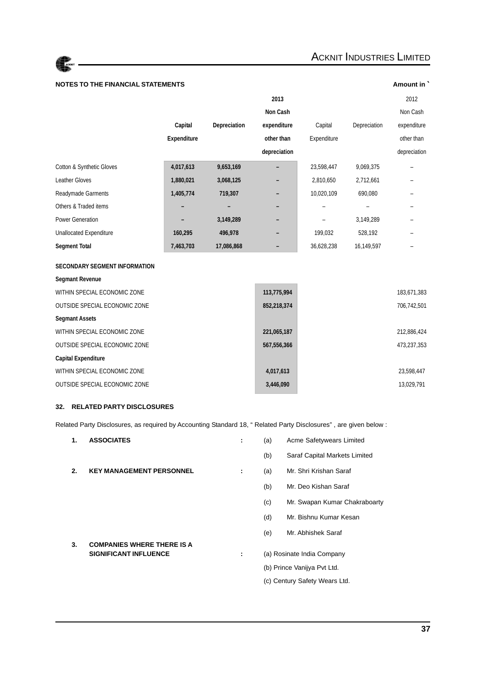

| <b>NOTES TO THE FINANCIAL STATEMENTS</b> |              |              |                          |              | Amount in    |
|------------------------------------------|--------------|--------------|--------------------------|--------------|--------------|
|                                          |              | 2013         |                          |              | 2012         |
|                                          |              | Non Cash     |                          |              | Non Cash     |
| Capital                                  | Depreciation | expenditure  | Capital                  | Depreciation | expenditure  |
| <b>Expenditure</b>                       |              | other than   | Expenditure              |              | other than   |
|                                          |              | depreciation |                          |              | depreciation |
| 4,017,613                                | 9,653,169    |              | 23,598,447               | 9,069,375    |              |
| 1,880,021                                | 3,068,125    |              | 2,810,650                | 2,712,661    |              |
| 1,405,774                                | 719,307      |              | 10,020,109               | 690,080      |              |
|                                          | -            |              | $\overline{\phantom{0}}$ |              |              |
|                                          | 3,149,289    |              |                          | 3,149,289    |              |
| 160,295                                  | 496,978      |              | 199,032                  | 528,192      |              |
| 7,463,703                                | 17,086,868   |              | 36,628,238               | 16,149,597   |              |
|                                          |              |              |                          |              |              |
|                                          |              |              |                          |              |              |
|                                          |              | 113,775,994  |                          |              | 183,671,383  |
|                                          |              | 852,218,374  |                          |              | 706,742,501  |
|                                          |              |              |                          |              |              |
|                                          |              | 221,065,187  |                          |              | 212,886,424  |
|                                          |              | 567,556,366  |                          |              | 473,237,353  |
|                                          |              |              |                          |              |              |
|                                          |              | 4,017,613    |                          |              | 23,598,447   |
|                                          |              | 3,446,090    |                          |              | 13,029,791   |
|                                          |              |              |                          |              |              |

### **32. RELATED PARTY DISCLOSURES**

Related Party Disclosures, as required by Accounting Standard 18, " Related Party Disclosures" , are given below :

| 1. | <b>ASSOCIATES</b>                 | ÷ | (a) | Acme Safetywears Limited      |
|----|-----------------------------------|---|-----|-------------------------------|
|    |                                   |   | (b) | Saraf Capital Markets Limited |
| 2. | <b>KEY MANAGEMENT PERSONNEL</b>   | ÷ | (a) | Mr. Shri Krishan Saraf        |
|    |                                   |   | (b) | Mr. Deo Kishan Saraf          |
|    |                                   |   | (c) | Mr. Swapan Kumar Chakraboarty |
|    |                                   |   | (d) | Mr. Bishnu Kumar Kesan        |
|    |                                   |   | (e) | Mr. Abhishek Saraf            |
| 3. | <b>COMPANIES WHERE THERE IS A</b> |   |     |                               |
|    | <b>SIGNIFICANT INFLUENCE</b>      | ÷ |     | (a) Rosinate India Company    |
|    |                                   |   |     | (b) Prince Vanijya Pvt Ltd.   |
|    |                                   |   |     | (c) Century Safety Wears Ltd. |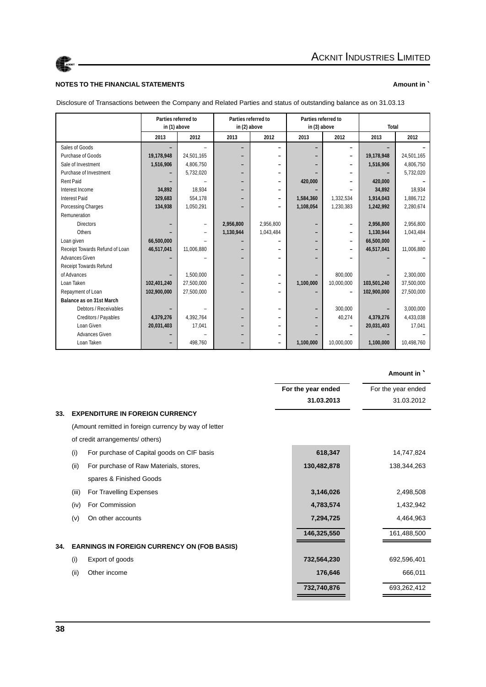

### **NOTES TO THE FINANCIAL STATEMENTS Amount in** `

Disclosure of Transactions between the Company and Related Parties and status of outstanding balance as on 31.03.13

|                                | Parties referred to<br>in (1) above |            | Parties referred to<br>in (2) above |           | Parties referred to<br>in (3) above |            | Total       |            |
|--------------------------------|-------------------------------------|------------|-------------------------------------|-----------|-------------------------------------|------------|-------------|------------|
|                                | 2013                                | 2012       | 2013                                | 2012      | 2013                                | 2012       | 2013        | 2012       |
| Sales of Goods                 |                                     |            |                                     |           | -                                   |            |             |            |
| Purchase of Goods              | 19,178,948                          | 24,501,165 |                                     |           |                                     |            | 19,178,948  | 24,501,165 |
| Sale of Investment             | 1,516,906                           | 4,806,750  |                                     |           |                                     |            | 1,516,906   | 4,806,750  |
| Purchase of Investment         |                                     | 5,732,020  |                                     |           |                                     |            |             | 5,732,020  |
| <b>Rent Paid</b>               |                                     |            |                                     |           | 420,000                             |            | 420,000     |            |
| Interest Income                | 34,892                              | 18.934     |                                     |           |                                     |            | 34,892      | 18,934     |
| Interest Paid                  | 329,683                             | 554,178    |                                     |           | 1,584,360                           | 1,332,534  | 1,914,043   | 1,886,712  |
| Porcessing Charges             | 134,938                             | 1,050,291  |                                     |           | 1,108,054                           | 1,230,383  | 1,242,992   | 2,280,674  |
| Remuneration                   |                                     |            |                                     |           |                                     |            |             |            |
| <b>Directors</b>               |                                     |            | 2,956,800                           | 2.956.800 | -                                   |            | 2,956,800   | 2,956,800  |
| Others                         |                                     |            | 1,130,944                           | 1,043,484 |                                     |            | 1,130,944   | 1,043,484  |
| Loan given                     | 66,500,000                          |            |                                     |           |                                     |            | 66,500,000  |            |
| Receipt Towards Refund of Loan | 46,517,041                          | 11,006,880 |                                     |           | -                                   |            | 46,517,041  | 11,006,880 |
| Advances Given                 |                                     |            |                                     |           |                                     |            |             |            |
| Receipt Towards Refund         |                                     |            |                                     |           |                                     |            |             |            |
| of Advances                    |                                     | 1,500,000  |                                     |           |                                     | 800,000    |             | 2,300,000  |
| Loan Taken                     | 102,401,240                         | 27,500,000 |                                     |           | 1,100,000                           | 10,000,000 | 103,501,240 | 37,500,000 |
| Repayment of Loan              | 102,900,000                         | 27,500,000 |                                     |           |                                     |            | 102,900,000 | 27,500,000 |
| Balance as on 31st March       |                                     |            |                                     |           |                                     |            |             |            |
| Debtors / Receivables          |                                     |            |                                     |           |                                     | 300.000    |             | 3,000,000  |
| Creditors / Payables           | 4,379,276                           | 4,392,764  |                                     |           |                                     | 40,274     | 4,379,276   | 4,433,038  |
| Loan Given                     | 20,031,403                          | 17,041     |                                     |           |                                     |            | 20,031,403  | 17,041     |
| <b>Advances Given</b>          |                                     |            |                                     |           |                                     |            |             |            |
| Loan Taken                     |                                     | 498,760    |                                     |           | 1,100,000                           | 10,000,000 | 1,100,000   | 10,498,760 |

|     |       |                                                       |                    | Amount in `        |
|-----|-------|-------------------------------------------------------|--------------------|--------------------|
|     |       |                                                       | For the year ended | For the year ended |
|     |       |                                                       | 31.03.2013         | 31.03.2012         |
| 33. |       | <b>EXPENDITURE IN FOREIGN CURRENCY</b>                |                    |                    |
|     |       | (Amount remitted in foreign currency by way of letter |                    |                    |
|     |       | of credit arrangements/ others)                       |                    |                    |
|     | (i)   | For purchase of Capital goods on CIF basis            | 618,347            | 14,747,824         |
|     | (ii)  | For purchase of Raw Materials, stores,                | 130,482,878        | 138,344,263        |
|     |       | spares & Finished Goods                               |                    |                    |
|     | (iii) | For Travelling Expenses                               | 3,146,026          | 2,498,508          |
|     | (iv)  | For Commission                                        | 4,783,574          | 1,432,942          |
|     | (v)   | On other accounts                                     | 7,294,725          | 4,464,963          |
|     |       |                                                       | 146,325,550        | 161,488,500        |
| 34. |       | <b>EARNINGS IN FOREIGN CURRENCY ON (FOB BASIS)</b>    |                    |                    |
|     | (i)   | Export of goods                                       | 732,564,230        | 692,596,401        |
|     | (ii)  | Other income                                          | 176,646            | 666,011            |
|     |       |                                                       | 732,740,876        | 693,262,412        |
|     |       |                                                       |                    |                    |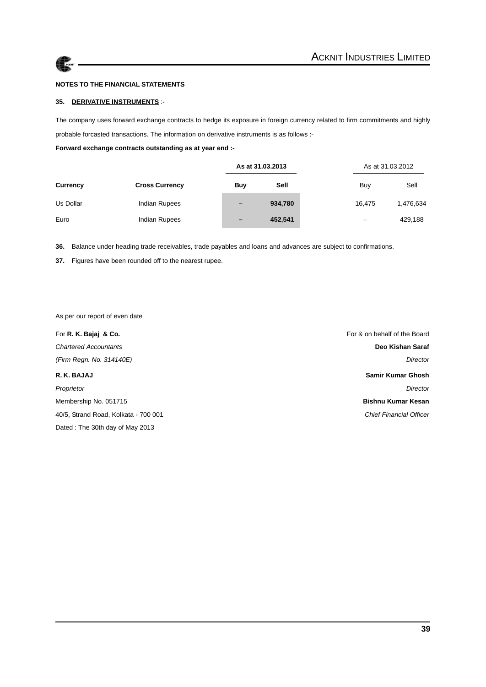

### **35. DERIVATIVE INSTRUMENTS** :-

The company uses forward exchange contracts to hedge its exposure in foreign currency related to firm commitments and highly probable forcasted transactions. The information on derivative instruments is as follows :-

**Forward exchange contracts outstanding as at year end :-**

|           |                       | As at 31.03.2013         |         |        | As at 31.03.2012 |  |
|-----------|-----------------------|--------------------------|---------|--------|------------------|--|
| Currency  | <b>Cross Currency</b> | Buy                      | Sell    | Buy    | Sell             |  |
| Us Dollar | Indian Rupees         | $\qquad \qquad -$        | 934,780 | 16.475 | 1,476,634        |  |
| Euro      | Indian Rupees         | $\overline{\phantom{0}}$ | 452,541 | -      | 429,188          |  |

**36.** Balance under heading trade receivables, trade payables and loans and advances are subject to confirmations.

**37.** Figures have been rounded off to the nearest rupee.

#### As per our report of even date

| For R. K. Bajaj & Co.                | For & on behalf of the Board   |
|--------------------------------------|--------------------------------|
| <b>Chartered Accountants</b>         | Deo Kishan Saraf               |
| (Firm Regn. No. 314140E)             | Director                       |
| R. K. BAJAJ                          | Samir Kumar Ghosh              |
| Proprietor                           | Director                       |
| Membership No. 051715                | <b>Bishnu Kumar Kesan</b>      |
| 40/5, Strand Road, Kolkata - 700 001 | <b>Chief Financial Officer</b> |
| Dated: The 30th day of May 2013      |                                |